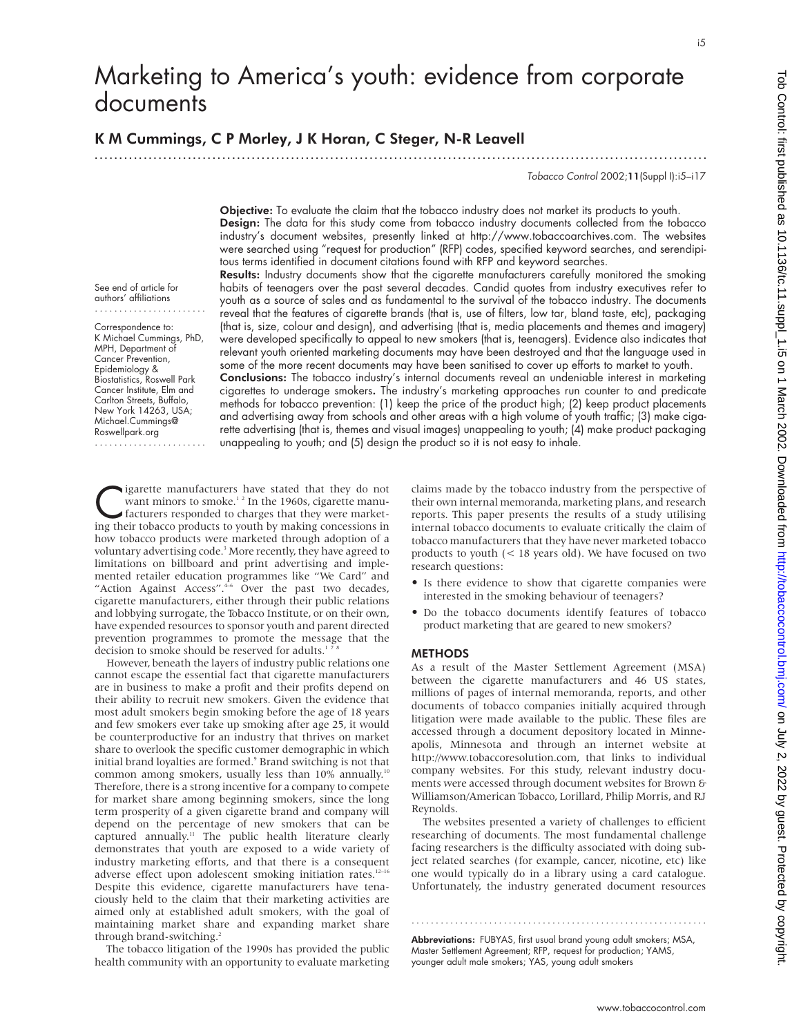i5

# Marketing to America's youth: evidence from corporate documents

.............................................................................................................................

# K M Cummings, C P Morley, J K Horan, C Steger, N-R Leavell

Tobacco Control 2002;11(Suppl I):i5–i17

Objective: To evaluate the claim that the tobacco industry does not market its products to youth. Design: The data for this study come from tobacco industry documents collected from the tobacco industry's document websites, presently linked at http://www.tobaccoarchives.com. The websites were searched using "request for production" (RFP) codes, specified keyword searches, and serendipitous terms identified in document citations found with RFP and keyword searches.

See end of article for authors' affiliations .......................

Correspondence to: K Michael Cummings, PhD, MPH, Department of Cancer Prevention, Epidemiology & Biostatistics, Roswell Park Cancer Institute, Elm and Carlton Streets, Buffalo, New York 14263, USA; Michael.Cummings@ Roswellpark.org .......................

Results: Industry documents show that the cigarette manufacturers carefully monitored the smoking habits of teenagers over the past several decades. Candid quotes from industry executives refer to youth as a source of sales and as fundamental to the survival of the tobacco industry. The documents reveal that the features of cigarette brands (that is, use of filters, low tar, bland taste, etc), packaging (that is, size, colour and design), and advertising (that is, media placements and themes and imagery) were developed specifically to appeal to new smokers (that is, teenagers). Evidence also indicates that relevant youth oriented marketing documents may have been destroyed and that the language used in some of the more recent documents may have been sanitised to cover up efforts to market to youth. Conclusions: The tobacco industry's internal documents reveal an undeniable interest in marketing cigarettes to underage smokers. The industry's marketing approaches run counter to and predicate methods for tobacco prevention: (1) keep the price of the product high; (2) keep product placements and advertising away from schools and other areas with a high volume of youth traffic; (3) make cigarette advertising (that is, themes and visual images) unappealing to youth; (4) make product packaging unappealing to youth; and (5) design the product so it is not easy to inhale.

Gigarette manufacturers have stated that they do not<br>want minors to smoke.<sup>12</sup> In the 1960s, cigarette manu-<br>facturers responded to charges that they were market-<br>ing their tobacco products to youth by making concessions i want minors to smoke.<sup>12</sup> In the 1960s, cigarette manufacturers responded to charges that they were marketing their tobacco products to youth by making concessions in how tobacco products were marketed through adoption of a voluntary advertising code.<sup>3</sup> More recently, they have agreed to limitations on billboard and print advertising and implemented retailer education programmes like "We Card" and "Action Against Access".<sup>46</sup> Over the past two decades, cigarette manufacturers, either through their public relations and lobbying surrogate, the Tobacco Institute, or on their own, have expended resources to sponsor youth and parent directed prevention programmes to promote the message that the decision to smoke should be reserved for adults.<sup>1</sup>

However, beneath the layers of industry public relations one cannot escape the essential fact that cigarette manufacturers are in business to make a profit and their profits depend on their ability to recruit new smokers. Given the evidence that most adult smokers begin smoking before the age of 18 years and few smokers ever take up smoking after age 25, it would be counterproductive for an industry that thrives on market share to overlook the specific customer demographic in which initial brand loyalties are formed.<sup>9</sup> Brand switching is not that common among smokers, usually less than 10% annually.<sup>10</sup> Therefore, there is a strong incentive for a company to compete for market share among beginning smokers, since the long term prosperity of a given cigarette brand and company will depend on the percentage of new smokers that can be captured annually.<sup>11</sup> The public health literature clearly demonstrates that youth are exposed to a wide variety of industry marketing efforts, and that there is a consequent adverse effect upon adolescent smoking initiation rates.<sup>12-16</sup> Despite this evidence, cigarette manufacturers have tenaciously held to the claim that their marketing activities are aimed only at established adult smokers, with the goal of maintaining market share and expanding market share through brand-switching.<sup>2</sup>

The tobacco litigation of the 1990s has provided the public health community with an opportunity to evaluate marketing

claims made by the tobacco industry from the perspective of their own internal memoranda, marketing plans, and research reports. This paper presents the results of a study utilising internal tobacco documents to evaluate critically the claim of tobacco manufacturers that they have never marketed tobacco products to youth (< 18 years old). We have focused on two research questions:

- Is there evidence to show that cigarette companies were interested in the smoking behaviour of teenagers?
- Do the tobacco documents identify features of tobacco product marketing that are geared to new smokers?

#### **METHODS**

As a result of the Master Settlement Agreement (MSA) between the cigarette manufacturers and 46 US states, millions of pages of internal memoranda, reports, and other documents of tobacco companies initially acquired through litigation were made available to the public. These files are accessed through a document depository located in Minneapolis, Minnesota and through an internet website at http://www.tobaccoresolution.com, that links to individual company websites. For this study, relevant industry documents were accessed through document websites for Brown & Williamson/American Tobacco, Lorillard, Philip Morris, and RJ Reynolds.

The websites presented a variety of challenges to efficient researching of documents. The most fundamental challenge facing researchers is the difficulty associated with doing subject related searches (for example, cancer, nicotine, etc) like one would typically do in a library using a card catalogue. Unfortunately, the industry generated document resources

Abbreviations: FUBYAS, first usual brand young adult smokers; MSA, Master Settlement Agreement; RFP, request for production; YAMS, younger adult male smokers; YAS, young adult smokers

.............................................................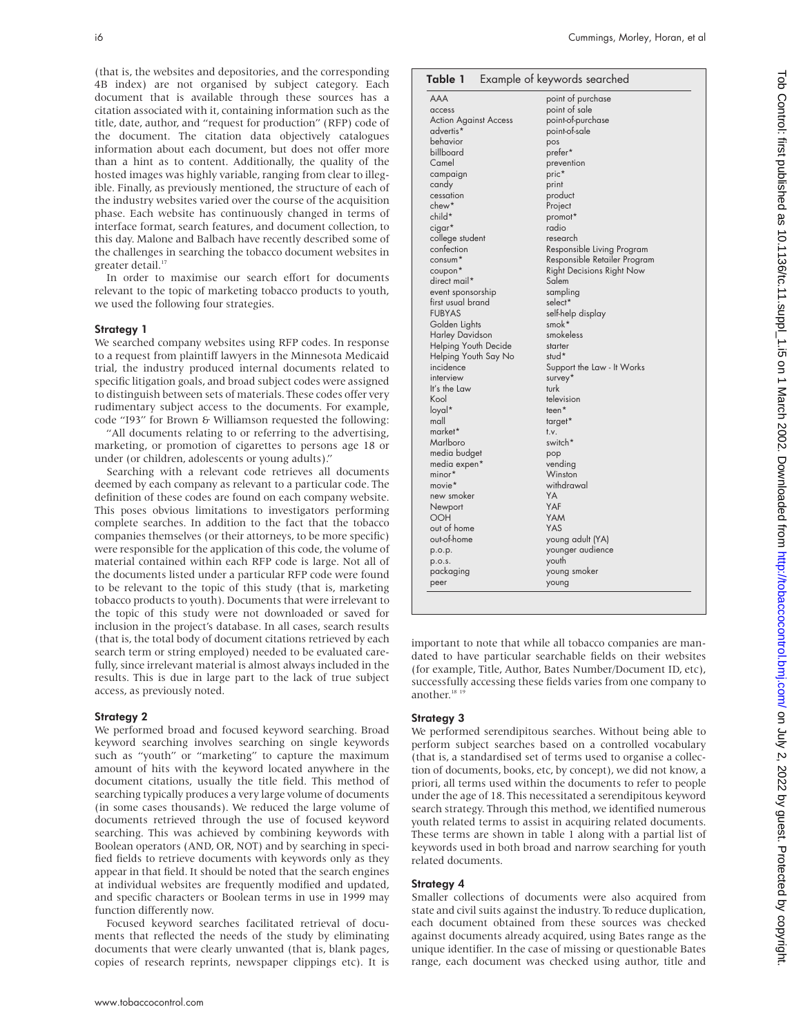(that is, the websites and depositories, and the corresponding 4B index) are not organised by subject category. Each document that is available through these sources has a citation associated with it, containing information such as the title, date, author, and "request for production" (RFP) code of the document. The citation data objectively catalogues information about each document, but does not offer more than a hint as to content. Additionally, the quality of the hosted images was highly variable, ranging from clear to illegible. Finally, as previously mentioned, the structure of each of the industry websites varied over the course of the acquisition phase. Each website has continuously changed in terms of interface format, search features, and document collection, to this day. Malone and Balbach have recently described some of the challenges in searching the tobacco document websites in greater detail.<sup>17</sup>

In order to maximise our search effort for documents relevant to the topic of marketing tobacco products to youth, we used the following four strategies.

#### Strategy 1

We searched company websites using RFP codes. In response to a request from plaintiff lawyers in the Minnesota Medicaid trial, the industry produced internal documents related to specific litigation goals, and broad subject codes were assigned to distinguish between sets of materials. These codes offer very rudimentary subject access to the documents. For example, code "I93" for Brown & Williamson requested the following:

"All documents relating to or referring to the advertising, marketing, or promotion of cigarettes to persons age 18 or under (or children, adolescents or young adults)."

Searching with a relevant code retrieves all documents deemed by each company as relevant to a particular code. The definition of these codes are found on each company website. This poses obvious limitations to investigators performing complete searches. In addition to the fact that the tobacco companies themselves (or their attorneys, to be more specific) were responsible for the application of this code, the volume of material contained within each RFP code is large. Not all of the documents listed under a particular RFP code were found to be relevant to the topic of this study (that is, marketing tobacco products to youth). Documents that were irrelevant to the topic of this study were not downloaded or saved for inclusion in the project's database. In all cases, search results (that is, the total body of document citations retrieved by each search term or string employed) needed to be evaluated carefully, since irrelevant material is almost always included in the results. This is due in large part to the lack of true subject access, as previously noted.

#### Strategy 2

We performed broad and focused keyword searching. Broad keyword searching involves searching on single keywords such as "youth" or "marketing" to capture the maximum amount of hits with the keyword located anywhere in the document citations, usually the title field. This method of searching typically produces a very large volume of documents (in some cases thousands). We reduced the large volume of documents retrieved through the use of focused keyword searching. This was achieved by combining keywords with Boolean operators (AND, OR, NOT) and by searching in specified fields to retrieve documents with keywords only as they appear in that field. It should be noted that the search engines at individual websites are frequently modified and updated, and specific characters or Boolean terms in use in 1999 may function differently now.

Focused keyword searches facilitated retrieval of documents that reflected the needs of the study by eliminating documents that were clearly unwanted (that is, blank pages, copies of research reprints, newspaper clippings etc). It is

| <b>AAA</b>                   | point of purchase                |
|------------------------------|----------------------------------|
| access                       | point of sale                    |
| <b>Action Against Access</b> | point-of-purchase                |
| advertis*                    | point-of-sale                    |
| behavior                     | pos                              |
| billboard                    | prefer*                          |
| Camel                        | prevention                       |
| campaign                     | pric*                            |
| candy                        | print                            |
| cessation                    | product                          |
| chew*                        | Project                          |
| child*                       | promot*                          |
| cigar*                       | radio                            |
| college student              | research                         |
| confection                   | Responsible Living Program       |
| $\text{consum}^*$            | Responsible Retailer Program     |
| coupon*                      | <b>Right Decisions Right Now</b> |
| direct mail*                 | Salem                            |
| event sponsorship            | sampling                         |
| first usual brand            | select*                          |
| <b>FUBYAS</b>                | self-help display                |
| Golden Lights                | smok*                            |
| <b>Harley Davidson</b>       | smokeless                        |
| Helping Youth Decide         | starter                          |
| Helping Youth Say No         | stud*                            |
| incidence                    | Support the Law - It Works       |
| interview                    | survey*                          |
| It's the Law                 | turk                             |
| Kool                         | television                       |
| loyal*                       | teen*                            |
| mall                         | target*                          |
| market*                      | t.v.                             |
| Marlboro                     | switch*                          |
| media budget                 | pop                              |
| media expen*                 | vending                          |
| $minor*$                     | Winston                          |
| movie*                       | withdrawal                       |
| new smoker                   | YA                               |
|                              | YAF                              |
| Newport                      |                                  |
| <b>OOH</b>                   | YAM                              |
| out of home                  | YAS                              |
| out-of-home                  | young adult (YA)                 |
| p.o.p.                       | younger audience                 |
| p.o.s.                       | youth                            |
| packaging                    | young smoker                     |
| peer                         | young                            |

important to note that while all tobacco companies are mandated to have particular searchable fields on their websites (for example, Title, Author, Bates Number/Document ID, etc), successfully accessing these fields varies from one company to another.<sup>18</sup> <sup>19</sup>

## Strategy 3

We performed serendipitous searches. Without being able to perform subject searches based on a controlled vocabulary (that is, a standardised set of terms used to organise a collection of documents, books, etc, by concept), we did not know, a priori, all terms used within the documents to refer to people under the age of 18. This necessitated a serendipitous keyword search strategy. Through this method, we identified numerous youth related terms to assist in acquiring related documents. These terms are shown in table 1 along with a partial list of keywords used in both broad and narrow searching for youth related documents.

## Strategy 4

Smaller collections of documents were also acquired from state and civil suits against the industry. To reduce duplication, each document obtained from these sources was checked against documents already acquired, using Bates range as the unique identifier. In the case of missing or questionable Bates range, each document was checked using author, title and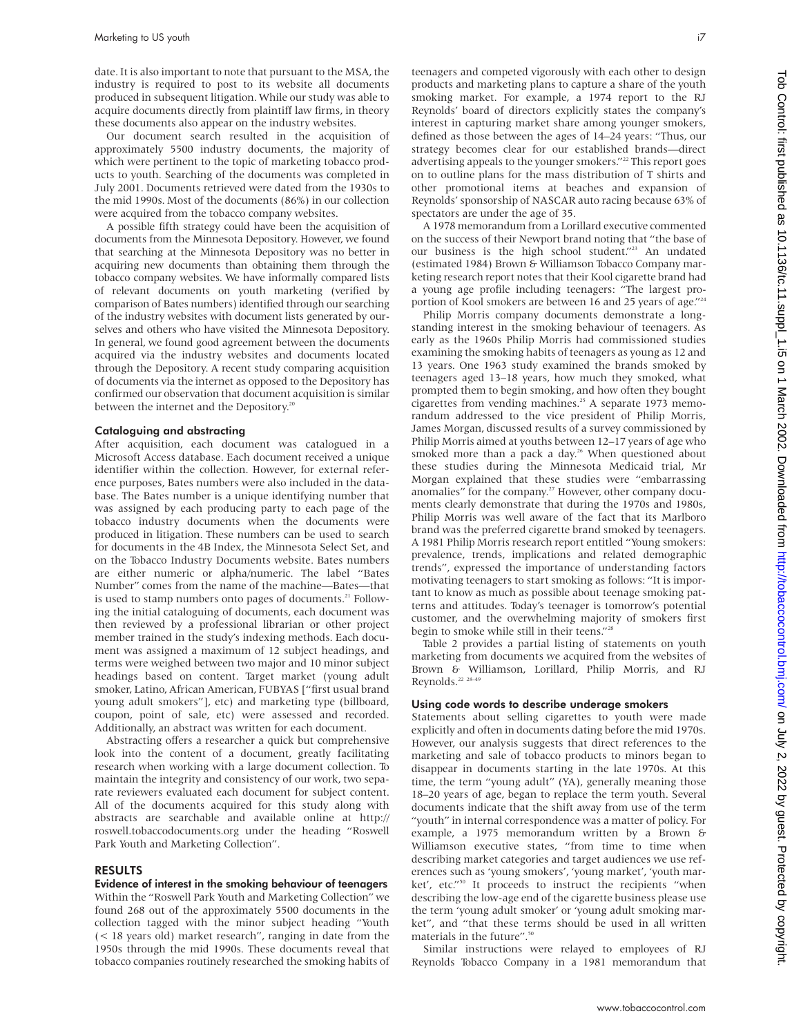date. It is also important to note that pursuant to the MSA, the industry is required to post to its website all documents produced in subsequent litigation. While our study was able to acquire documents directly from plaintiff law firms, in theory these documents also appear on the industry websites.

Our document search resulted in the acquisition of approximately 5500 industry documents, the majority of which were pertinent to the topic of marketing tobacco products to youth. Searching of the documents was completed in July 2001. Documents retrieved were dated from the 1930s to the mid 1990s. Most of the documents (86%) in our collection were acquired from the tobacco company websites.

A possible fifth strategy could have been the acquisition of documents from the Minnesota Depository. However, we found that searching at the Minnesota Depository was no better in acquiring new documents than obtaining them through the tobacco company websites. We have informally compared lists of relevant documents on youth marketing (verified by comparison of Bates numbers) identified through our searching of the industry websites with document lists generated by ourselves and others who have visited the Minnesota Depository. In general, we found good agreement between the documents acquired via the industry websites and documents located through the Depository. A recent study comparing acquisition of documents via the internet as opposed to the Depository has confirmed our observation that document acquisition is similar between the internet and the Depository.<sup>20</sup>

#### Cataloguing and abstracting

After acquisition, each document was catalogued in a Microsoft Access database. Each document received a unique identifier within the collection. However, for external reference purposes, Bates numbers were also included in the database. The Bates number is a unique identifying number that was assigned by each producing party to each page of the tobacco industry documents when the documents were produced in litigation. These numbers can be used to search for documents in the 4B Index, the Minnesota Select Set, and on the Tobacco Industry Documents website. Bates numbers are either numeric or alpha/numeric. The label "Bates Number" comes from the name of the machine—Bates—that is used to stamp numbers onto pages of documents.<sup>21</sup> Following the initial cataloguing of documents, each document was then reviewed by a professional librarian or other project member trained in the study's indexing methods. Each document was assigned a maximum of 12 subject headings, and terms were weighed between two major and 10 minor subject headings based on content. Target market (young adult smoker, Latino, African American, FUBYAS ["first usual brand young adult smokers"], etc) and marketing type (billboard, coupon, point of sale, etc) were assessed and recorded. Additionally, an abstract was written for each document.

Abstracting offers a researcher a quick but comprehensive look into the content of a document, greatly facilitating research when working with a large document collection. To maintain the integrity and consistency of our work, two separate reviewers evaluated each document for subject content. All of the documents acquired for this study along with abstracts are searchable and available online at http:// roswell.tobaccodocuments.org under the heading "Roswell Park Youth and Marketing Collection".

#### RESULTS

Evidence of interest in the smoking behaviour of teenagers

Within the "Roswell Park Youth and Marketing Collection" we found 268 out of the approximately 5500 documents in the collection tagged with the minor subject heading "Youth (< 18 years old) market research", ranging in date from the 1950s through the mid 1990s. These documents reveal that tobacco companies routinely researched the smoking habits of teenagers and competed vigorously with each other to design products and marketing plans to capture a share of the youth smoking market. For example, a 1974 report to the RJ Reynolds' board of directors explicitly states the company's interest in capturing market share among younger smokers, defined as those between the ages of 14–24 years: "Thus, our strategy becomes clear for our established brands—direct advertising appeals to the younger smokers."<sup>22</sup> This report goes on to outline plans for the mass distribution of T shirts and other promotional items at beaches and expansion of Reynolds' sponsorship of NASCAR auto racing because 63% of spectators are under the age of 35.

A 1978 memorandum from a Lorillard executive commented on the success of their Newport brand noting that "the base of our business is the high school student."<sup>23</sup> An undated (estimated 1984) Brown & Williamson Tobacco Company marketing research report notes that their Kool cigarette brand had a young age profile including teenagers: "The largest proportion of Kool smokers are between 16 and 25 years of age."<sup>24</sup>

Philip Morris company documents demonstrate a longstanding interest in the smoking behaviour of teenagers. As early as the 1960s Philip Morris had commissioned studies examining the smoking habits of teenagers as young as 12 and 13 years. One 1963 study examined the brands smoked by teenagers aged 13–18 years, how much they smoked, what prompted them to begin smoking, and how often they bought cigarettes from vending machines.<sup>25</sup> A separate 1973 memorandum addressed to the vice president of Philip Morris, James Morgan, discussed results of a survey commissioned by Philip Morris aimed at youths between 12–17 years of age who smoked more than a pack a day.<sup>26</sup> When questioned about these studies during the Minnesota Medicaid trial, Mr Morgan explained that these studies were "embarrassing anomalies" for the company.<sup>27</sup> However, other company documents clearly demonstrate that during the 1970s and 1980s, Philip Morris was well aware of the fact that its Marlboro brand was the preferred cigarette brand smoked by teenagers. A 1981 Philip Morris research report entitled "Young smokers: prevalence, trends, implications and related demographic trends", expressed the importance of understanding factors motivating teenagers to start smoking as follows: "It is important to know as much as possible about teenage smoking patterns and attitudes. Today's teenager is tomorrow's potential customer, and the overwhelming majority of smokers first begin to smoke while still in their teens."28

Table 2 provides a partial listing of statements on youth marketing from documents we acquired from the websites of Brown & Williamson, Lorillard, Philip Morris, and RJ Reynolds.<sup>22</sup> <sup>28–49</sup>

#### Using code words to describe underage smokers

Statements about selling cigarettes to youth were made explicitly and often in documents dating before the mid 1970s. However, our analysis suggests that direct references to the marketing and sale of tobacco products to minors began to disappear in documents starting in the late 1970s. At this time, the term "young adult" (YA), generally meaning those 18–20 years of age, began to replace the term youth. Several documents indicate that the shift away from use of the term "youth" in internal correspondence was a matter of policy. For example, a 1975 memorandum written by a Brown & Williamson executive states, "from time to time when describing market categories and target audiences we use references such as 'young smokers', 'young market', 'youth market', etc."<sup>50</sup> It proceeds to instruct the recipients "when describing the low-age end of the cigarette business please use the term 'young adult smoker' or 'young adult smoking market", and "that these terms should be used in all written materials in the future".<sup>50</sup>

Similar instructions were relayed to employees of RJ Reynolds Tobacco Company in a 1981 memorandum that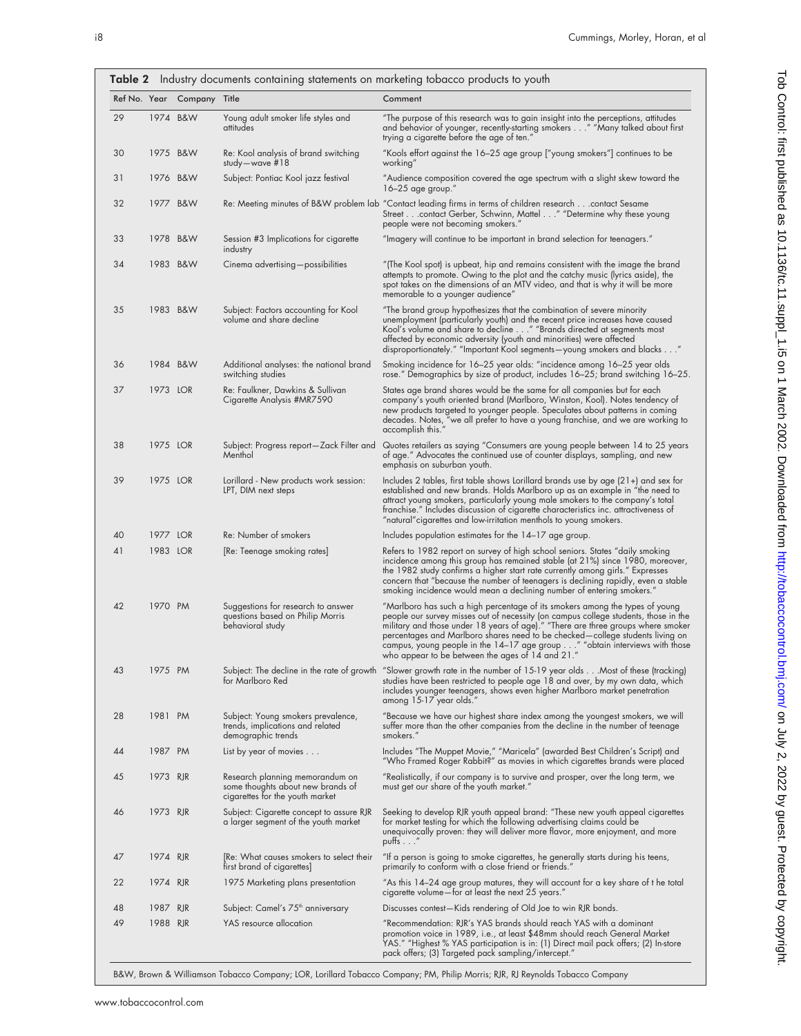| Ref No. Year |          | Company Title |                                                                                                         | Comment                                                                                                                                                                                                                                                                                                                                                                                                                                                                    |
|--------------|----------|---------------|---------------------------------------------------------------------------------------------------------|----------------------------------------------------------------------------------------------------------------------------------------------------------------------------------------------------------------------------------------------------------------------------------------------------------------------------------------------------------------------------------------------------------------------------------------------------------------------------|
| 29           |          | 1974 B&W      | Young adult smoker life styles and<br>attitudes                                                         | "The purpose of this research was to gain insight into the perceptions, attitudes<br>and behavior of younger, recently-starting smokers" "Many talked about first<br>trying a cigarette before the age of ten."                                                                                                                                                                                                                                                            |
| 30           |          | 1975 B&W      | Re: Kool analysis of brand switching<br>study-wave $#18$                                                | "Kools effort against the 16–25 age group ["young smokers"] continues to be<br>working"                                                                                                                                                                                                                                                                                                                                                                                    |
| 31           |          | 1976 B&W      | Subject: Pontiac Kool jazz festival                                                                     | "Audience composition covered the age spectrum with a slight skew toward the<br>$16-25$ age group."                                                                                                                                                                                                                                                                                                                                                                        |
| 32           |          | 1977 B&W      |                                                                                                         | contact Sesame (Retrigon Index of B&W problem lab "Contact leading firms in terms of children researchcontact Sesame<br>Street contact Gerber, Schwinn, Mattel " "Determine why these young<br>people were not becoming smokers."                                                                                                                                                                                                                                          |
| 33           |          | 1978 B&W      | Session #3 Implications for cigarette<br>industry                                                       | "Imagery will continue to be important in brand selection for teenagers."                                                                                                                                                                                                                                                                                                                                                                                                  |
| 34           |          | 1983 B&W      | Cinema advertising-possibilities                                                                        | "(The Kool spot) is upbeat, hip and remains consistent with the image the brand<br>attempts to promote. Owing to the plot and the catchy music (lyrics aside), the<br>spot takes on the dimensions of an MTV video, and that is why it will be more<br>memorable to a younger audience"                                                                                                                                                                                    |
| 35           |          | 1983 B&W      | Subject: Factors accounting for Kool<br>volume and share decline                                        | "The brand group hypothesizes that the combination of severe minority<br>unemployment (particularly youth) and the recent price increases have caused<br>Kool's volume and share to decline " "Brands directed at segments most<br>affected by economic adversity (youth and minorities) were affected<br>disproportionately." "Important Kool segments-young smokers and blacks"                                                                                          |
| 36           |          | 1984 B&W      | Additional analyses: the national brand<br>switching studies                                            | Smoking incidence for 16-25 year olds: "incidence among 16-25 year olds<br>rose." Demographics by size of product, includes 16–25; brand switching 16–25.                                                                                                                                                                                                                                                                                                                  |
| 37           | 1973 LOR |               | Re: Faulkner, Dawkins & Sullivan<br>Cigarette Analysis #MR7590                                          | States age brand shares would be the same for all companies but for each<br>company's youth oriented brand (Marlboro, Winston, Kool). Notes tendency of<br>new products targeted to younger people. Speculates about patterns in coming<br>decades. Notes, "we all prefer to have a young franchise, and we are working to<br>accomplish this."                                                                                                                            |
| 38           | 1975 LOR |               | Subject: Progress report-Zack Filter and<br>Menthol                                                     | Quotes retailers as saying "Consumers are young people between 14 to 25 years<br>of age." Advocates the continued use of counter displays, sampling, and new<br>emphasis on suburban youth.                                                                                                                                                                                                                                                                                |
| 39           | 1975 LOR |               | Lorillard - New products work session:<br>LPT, DIM next steps                                           | Includes 2 tables, first table shows Lorillard brands use by age $(21+)$ and sex for<br>established and new brands. Holds Marlboro up as an example in "the need to<br>attract young smokers, particularly young male smokers to the company's total<br>franchise." Includes discussion of cigarette characteristics inc. attractiveness of<br>"natural"cigarettes and low-irritation menthols to young smokers.                                                           |
| 40           | 1977 LOR |               | Re: Number of smokers                                                                                   | Includes population estimates for the 14-17 age group.                                                                                                                                                                                                                                                                                                                                                                                                                     |
| 41           | 1983 LOR |               | [Re: Teenage smoking rates]                                                                             | Refers to 1982 report on survey of high school seniors. States "daily smoking<br>incidence among this group has remained stable (at 21%) since 1980, moreover,<br>the 1982 study confirms a higher start rate currently among girls." Expresses<br>concern that "because the number of teenagers is declining rapidly, even a stable<br>smoking incidence would mean a declining number of entering smokers."                                                              |
| 42           | 1970 PM  |               | Suggestions for research to answer<br>questions based on Philip Morris<br>behavioral study              | "Marlboro has such a high percentage of its smokers among the types of young<br>people our survey misses out of necessity (on campus college students, those in the<br>military and those under 18 years of age)." "There are three groups where smoker<br>percentages and Marlboro shares need to be checked-college students living on<br>campus, young people in the 14–17 age group" "obtain interviews with those<br>who appear to be between the ages of 14 and 21." |
| 43           | 1975 PM  |               | for Marlboro Red                                                                                        | Subject: The decline in the rate of growth "Slower growth rate in the number of 15-19 year oldsMost of these (tracking)<br>studies have been restricted to people age 18 and over, by my own data, which<br>includes younger teenagers, shows even higher Marlboro market penetration<br>among 15-17 year olds."                                                                                                                                                           |
| 28           | 1981 PM  |               | Subject: Young smokers prevalence,<br>trends, implications and related<br>demographic trends            | "Because we have our highest share index among the youngest smokers, we will<br>suffer more than the other companies from the decline in the number of teenage<br>smokers."                                                                                                                                                                                                                                                                                                |
| 44           | 1987 PM  |               | List by year of movies $\dots$                                                                          | Includes "The Muppet Movie," "Maricela" (awarded Best Children's Script) and<br>"Who Framed Roger Rabbit?" as movies in which cigarettes brands were placed                                                                                                                                                                                                                                                                                                                |
| 45           | 1973 RJR |               | Research planning memorandum on<br>some thoughts about new brands of<br>cigarettes for the youth market | "Realistically, it our company is to survive and prosper, over the long term, we<br>must get our share of the youth market."                                                                                                                                                                                                                                                                                                                                               |
| 46           | 1973 RJR |               | Subject: Cigarette concept to assure RJR<br>a larger segment of the youth market                        | Seeking to develop RJR youth appeal brand: "These new youth appeal cigarettes<br>for market testing for which the following advertising claims could be<br>unequivocally proven: they will deliver more flavor, more enjoyment, and more<br>putts $\ldots$ "                                                                                                                                                                                                               |
| 47           | 1974 RJR |               | [Re: What causes smokers to select their<br>first brand of cigarettes]                                  | "If a person is going to smoke cigarettes, he generally starts during his teens,<br>primarily to conform with a close friend or friends."                                                                                                                                                                                                                                                                                                                                  |
| 22           | 1974 RJR |               | 1975 Marketing plans presentation                                                                       | "As this 14-24 age group matures, they will account for a key share of t he total<br>cigarette volume-for at least the next 25 years."                                                                                                                                                                                                                                                                                                                                     |
| 48           | 1987     | <b>RJR</b>    | Subject: Camel's 75 <sup>th</sup> anniversary                                                           | Discusses contest—Kids rendering of Old Joe to win RJR bonds.                                                                                                                                                                                                                                                                                                                                                                                                              |
| 49           | 1988 RJR |               | YAS resource allocation                                                                                 | "Recommendation: RJR's YAS brands should reach YAS with a dominant<br>promotion voice in 1989, i.e., at least \$48mm should reach General Market<br>YAS." "Highest % YAS participation is in: (1) Direct mail pack offers; (2) In-store<br>pack offers; (3) Targeted pack sampling/intercept."                                                                                                                                                                             |

B&W, Brown & Williamson Tobacco Company; LOR, Lorillard Tobacco Company; PM, Philip Morris; RJR, RJ Reynolds Tobacco Company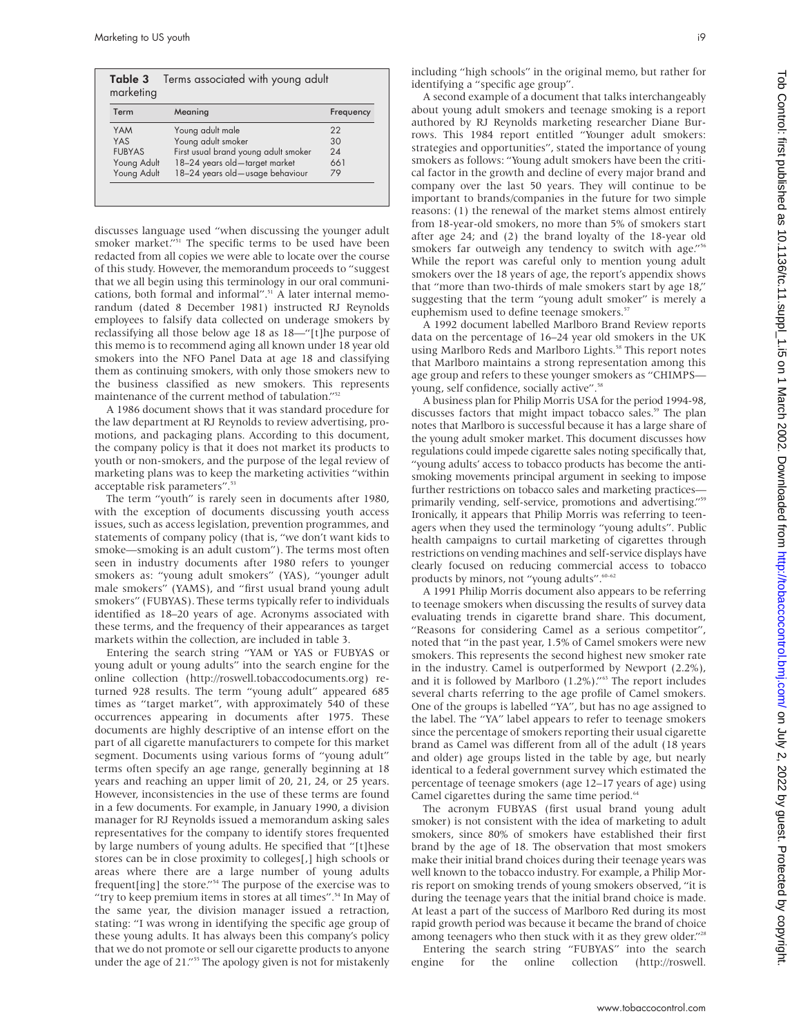| Term          | Meaning                              | Frequency |
|---------------|--------------------------------------|-----------|
| <b>YAM</b>    | Young adult male                     | 22        |
| <b>YAS</b>    | Young adult smoker                   | 30        |
| <b>FUBYAS</b> | First usual brand young adult smoker | 24        |
| Young Adult   | 18-24 years old-target market        | 661       |
| Young Adult   | 18-24 years old-usage behaviour      | 79        |

discusses language used "when discussing the younger adult smoker market."<sup>51</sup> The specific terms to be used have been redacted from all copies we were able to locate over the course of this study. However, the memorandum proceeds to "suggest that we all begin using this terminology in our oral communications, both formal and informal".<sup>51</sup> A later internal memorandum (dated 8 December 1981) instructed RJ Reynolds employees to falsify data collected on underage smokers by reclassifying all those below age 18 as 18—"[t]he purpose of this memo is to recommend aging all known under 18 year old smokers into the NFO Panel Data at age 18 and classifying them as continuing smokers, with only those smokers new to the business classified as new smokers. This represents maintenance of the current method of tabulation."<sup>52</sup>

A 1986 document shows that it was standard procedure for the law department at RJ Reynolds to review advertising, promotions, and packaging plans. According to this document, the company policy is that it does not market its products to youth or non-smokers, and the purpose of the legal review of marketing plans was to keep the marketing activities "within acceptable risk parameters".<sup>53</sup>

The term "youth" is rarely seen in documents after 1980, with the exception of documents discussing youth access issues, such as access legislation, prevention programmes, and statements of company policy (that is, "we don't want kids to smoke—smoking is an adult custom"). The terms most often seen in industry documents after 1980 refers to younger smokers as: "young adult smokers" (YAS), "younger adult male smokers" (YAMS), and "first usual brand young adult smokers" (FUBYAS). These terms typically refer to individuals identified as 18–20 years of age. Acronyms associated with these terms, and the frequency of their appearances as target markets within the collection, are included in table 3.

Entering the search string "YAM or YAS or FUBYAS or young adult or young adults" into the search engine for the online collection (http://roswell.tobaccodocuments.org) returned 928 results. The term "young adult" appeared 685 times as "target market", with approximately 540 of these occurrences appearing in documents after 1975. These documents are highly descriptive of an intense effort on the part of all cigarette manufacturers to compete for this market segment. Documents using various forms of "young adult" terms often specify an age range, generally beginning at 18 years and reaching an upper limit of 20, 21, 24, or 25 years. However, inconsistencies in the use of these terms are found in a few documents. For example, in January 1990, a division manager for RJ Reynolds issued a memorandum asking sales representatives for the company to identify stores frequented by large numbers of young adults. He specified that "[t]hese stores can be in close proximity to colleges[,] high schools or areas where there are a large number of young adults frequent[ing] the store."54 The purpose of the exercise was to "try to keep premium items in stores at all times".<sup>54</sup> In May of the same year, the division manager issued a retraction, stating: "I was wrong in identifying the specific age group of these young adults. It has always been this company's policy that we do not promote or sell our cigarette products to anyone under the age of 21."<sup>55</sup> The apology given is not for mistakenly

including "high schools" in the original memo, but rather for identifying a "specific age group".

A second example of a document that talks interchangeably about young adult smokers and teenage smoking is a report authored by RJ Reynolds marketing researcher Diane Burrows. This 1984 report entitled "Younger adult smokers: strategies and opportunities", stated the importance of young smokers as follows: "Young adult smokers have been the critical factor in the growth and decline of every major brand and company over the last 50 years. They will continue to be important to brands/companies in the future for two simple reasons: (1) the renewal of the market stems almost entirely from 18-year-old smokers, no more than 5% of smokers start after age 24; and (2) the brand loyalty of the 18-year old smokers far outweigh any tendency to switch with age." While the report was careful only to mention young adult smokers over the 18 years of age, the report's appendix shows that "more than two-thirds of male smokers start by age 18," suggesting that the term "young adult smoker" is merely a euphemism used to define teenage smokers.<sup>57</sup>

A 1992 document labelled Marlboro Brand Review reports data on the percentage of 16–24 year old smokers in the UK using Marlboro Reds and Marlboro Lights.<sup>58</sup> This report notes that Marlboro maintains a strong representation among this age group and refers to these younger smokers as "CHIMPS young, self confidence, socially active".<sup>58</sup>

A business plan for Philip Morris USA for the period 1994-98, discusses factors that might impact tobacco sales.<sup>59</sup> The plan notes that Marlboro is successful because it has a large share of the young adult smoker market. This document discusses how regulations could impede cigarette sales noting specifically that, "young adults' access to tobacco products has become the antismoking movements principal argument in seeking to impose further restrictions on tobacco sales and marketing practices primarily vending, self-service, promotions and advertising."<sup>59</sup> Ironically, it appears that Philip Morris was referring to teenagers when they used the terminology "young adults". Public health campaigns to curtail marketing of cigarettes through restrictions on vending machines and self-service displays have clearly focused on reducing commercial access to tobacco products by minors, not "young adults".<sup>60–</sup>

A 1991 Philip Morris document also appears to be referring to teenage smokers when discussing the results of survey data evaluating trends in cigarette brand share. This document, "Reasons for considering Camel as a serious competitor", noted that "in the past year, 1.5% of Camel smokers were new smokers. This represents the second highest new smoker rate in the industry. Camel is outperformed by Newport (2.2%), and it is followed by Marlboro (1.2%)."<sup>63</sup> The report includes several charts referring to the age profile of Camel smokers. One of the groups is labelled "YA", but has no age assigned to the label. The "YA" label appears to refer to teenage smokers since the percentage of smokers reporting their usual cigarette brand as Camel was different from all of the adult (18 years and older) age groups listed in the table by age, but nearly identical to a federal government survey which estimated the percentage of teenage smokers (age 12–17 years of age) using Camel cigarettes during the same time period.<sup>64</sup>

The acronym FUBYAS (first usual brand young adult smoker) is not consistent with the idea of marketing to adult smokers, since 80% of smokers have established their first brand by the age of 18. The observation that most smokers make their initial brand choices during their teenage years was well known to the tobacco industry. For example, a Philip Morris report on smoking trends of young smokers observed, "it is during the teenage years that the initial brand choice is made. At least a part of the success of Marlboro Red during its most rapid growth period was because it became the brand of choice among teenagers who then stuck with it as they grew older."<sup>28</sup> Entering the search string "FUBYAS" into the search

engine for the online collection (http://roswell.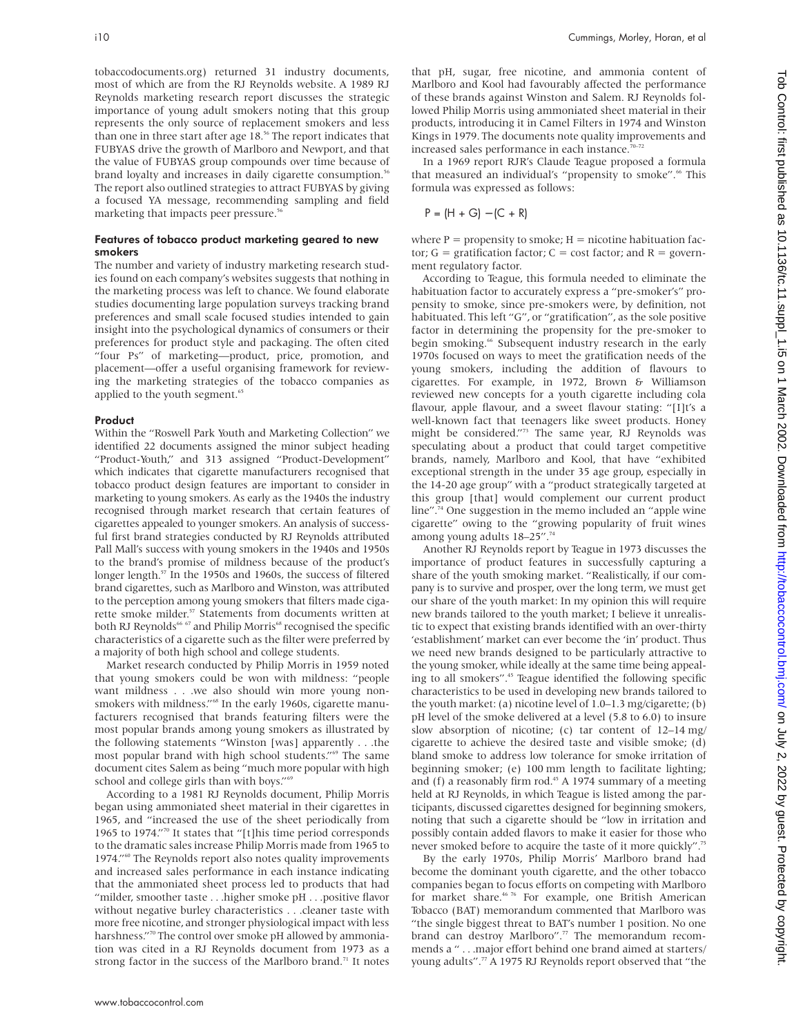tobaccodocuments.org) returned 31 industry documents, most of which are from the RJ Reynolds website. A 1989 RJ Reynolds marketing research report discusses the strategic importance of young adult smokers noting that this group represents the only source of replacement smokers and less than one in three start after age 18.<sup>56</sup> The report indicates that FUBYAS drive the growth of Marlboro and Newport, and that the value of FUBYAS group compounds over time because of brand loyalty and increases in daily cigarette consumption.<sup>56</sup> The report also outlined strategies to attract FUBYAS by giving a focused YA message, recommending sampling and field marketing that impacts peer pressure.<sup>56</sup>

#### Features of tobacco product marketing geared to new smokers

The number and variety of industry marketing research studies found on each company's websites suggests that nothing in the marketing process was left to chance. We found elaborate studies documenting large population surveys tracking brand preferences and small scale focused studies intended to gain insight into the psychological dynamics of consumers or their preferences for product style and packaging. The often cited "four Ps" of marketing—product, price, promotion, and placement—offer a useful organising framework for reviewing the marketing strategies of the tobacco companies as applied to the youth segment.<sup>65</sup>

#### Product

Within the "Roswell Park Youth and Marketing Collection" we identified 22 documents assigned the minor subject heading "Product-Youth," and 313 assigned "Product-Development" which indicates that cigarette manufacturers recognised that tobacco product design features are important to consider in marketing to young smokers. As early as the 1940s the industry recognised through market research that certain features of cigarettes appealed to younger smokers. An analysis of successful first brand strategies conducted by RJ Reynolds attributed Pall Mall's success with young smokers in the 1940s and 1950s to the brand's promise of mildness because of the product's longer length.<sup>57</sup> In the 1950s and 1960s, the success of filtered brand cigarettes, such as Marlboro and Winston, was attributed to the perception among young smokers that filters made cigarette smoke milder.<sup>57</sup> Statements from documents written at both RJ Reynolds<sup>66 67</sup> and Philip Morris<sup>68</sup> recognised the specific characteristics of a cigarette such as the filter were preferred by a majority of both high school and college students.

Market research conducted by Philip Morris in 1959 noted that young smokers could be won with mildness: "people want mildness . . .we also should win more young nonsmokers with mildness."<sup>68</sup> In the early 1960s, cigarette manufacturers recognised that brands featuring filters were the most popular brands among young smokers as illustrated by the following statements "Winston [was] apparently . . .the most popular brand with high school students."<sup>69</sup> The same document cites Salem as being "much more popular with high school and college girls than with boys."<sup>6</sup>

According to a 1981 RJ Reynolds document, Philip Morris began using ammoniated sheet material in their cigarettes in 1965, and "increased the use of the sheet periodically from 1965 to 1974."70 It states that "[t]his time period corresponds to the dramatic sales increase Philip Morris made from 1965 to 1974."60 The Reynolds report also notes quality improvements and increased sales performance in each instance indicating that the ammoniated sheet process led to products that had "milder, smoother taste . . .higher smoke pH . . .positive flavor without negative burley characteristics . . .cleaner taste with more free nicotine, and stronger physiological impact with less harshness."<sup>70</sup> The control over smoke pH allowed by ammoniation was cited in a RJ Reynolds document from 1973 as a strong factor in the success of the Marlboro brand.<sup>71</sup> It notes

that pH, sugar, free nicotine, and ammonia content of Marlboro and Kool had favourably affected the performance of these brands against Winston and Salem. RJ Reynolds followed Philip Morris using ammoniated sheet material in their products, introducing it in Camel Filters in 1974 and Winston Kings in 1979. The documents note quality improvements and increased sales performance in each instance.<sup>70-72</sup>

In a 1969 report RJR's Claude Teague proposed a formula that measured an individual's "propensity to smoke".<sup>66</sup> This formula was expressed as follows:

$$
P = (H + G) - (C + R)
$$

where  $P =$  propensity to smoke;  $H =$  nicotine habituation factor;  $G =$  gratification factor;  $C =$  cost factor; and  $R =$  government regulatory factor.

According to Teague, this formula needed to eliminate the habituation factor to accurately express a "pre-smoker's" propensity to smoke, since pre-smokers were, by definition, not habituated. This left "G", or "gratification", as the sole positive factor in determining the propensity for the pre-smoker to begin smoking.<sup>66</sup> Subsequent industry research in the early 1970s focused on ways to meet the gratification needs of the young smokers, including the addition of flavours to cigarettes. For example, in 1972, Brown & Williamson reviewed new concepts for a youth cigarette including cola flavour, apple flavour, and a sweet flavour stating: "[I]t's a well-known fact that teenagers like sweet products. Honey might be considered."73 The same year, RJ Reynolds was speculating about a product that could target competitive brands, namely, Marlboro and Kool, that have "exhibited exceptional strength in the under 35 age group, especially in the 14-20 age group" with a "product strategically targeted at this group [that] would complement our current product line".<sup>74</sup> One suggestion in the memo included an "apple wine". cigarette" owing to the "growing popularity of fruit wines among young adults 18-25".<sup>74</sup>

Another RJ Reynolds report by Teague in 1973 discusses the importance of product features in successfully capturing a share of the youth smoking market. "Realistically, if our company is to survive and prosper, over the long term, we must get our share of the youth market: In my opinion this will require new brands tailored to the youth market; I believe it unrealistic to expect that existing brands identified with an over-thirty 'establishment' market can ever become the 'in' product. Thus we need new brands designed to be particularly attractive to the young smoker, while ideally at the same time being appealing to all smokers".45 Teague identified the following specific characteristics to be used in developing new brands tailored to the youth market: (a) nicotine level of 1.0–1.3 mg/cigarette; (b) pH level of the smoke delivered at a level (5.8 to 6.0) to insure slow absorption of nicotine; (c) tar content of 12–14 mg/ cigarette to achieve the desired taste and visible smoke; (d) bland smoke to address low tolerance for smoke irritation of beginning smoker; (e) 100 mm length to facilitate lighting; and (f) a reasonably firm  $rod.^{45}$  A 1974 summary of a meeting held at RJ Reynolds, in which Teague is listed among the participants, discussed cigarettes designed for beginning smokers, noting that such a cigarette should be "low in irritation and possibly contain added flavors to make it easier for those who never smoked before to acquire the taste of it more quickly".<sup>75</sup>

By the early 1970s, Philip Morris' Marlboro brand had become the dominant youth cigarette, and the other tobacco companies began to focus efforts on competing with Marlboro for market share.46 76 For example, one British American Tobacco (BAT) memorandum commented that Marlboro was "the single biggest threat to BAT's number 1 position. No one brand can destroy Marlboro".<sup>77</sup> The memorandum recommends a " . . .major effort behind one brand aimed at starters/ young adults".<sup>77</sup> A 1975 RJ Reynolds report observed that "the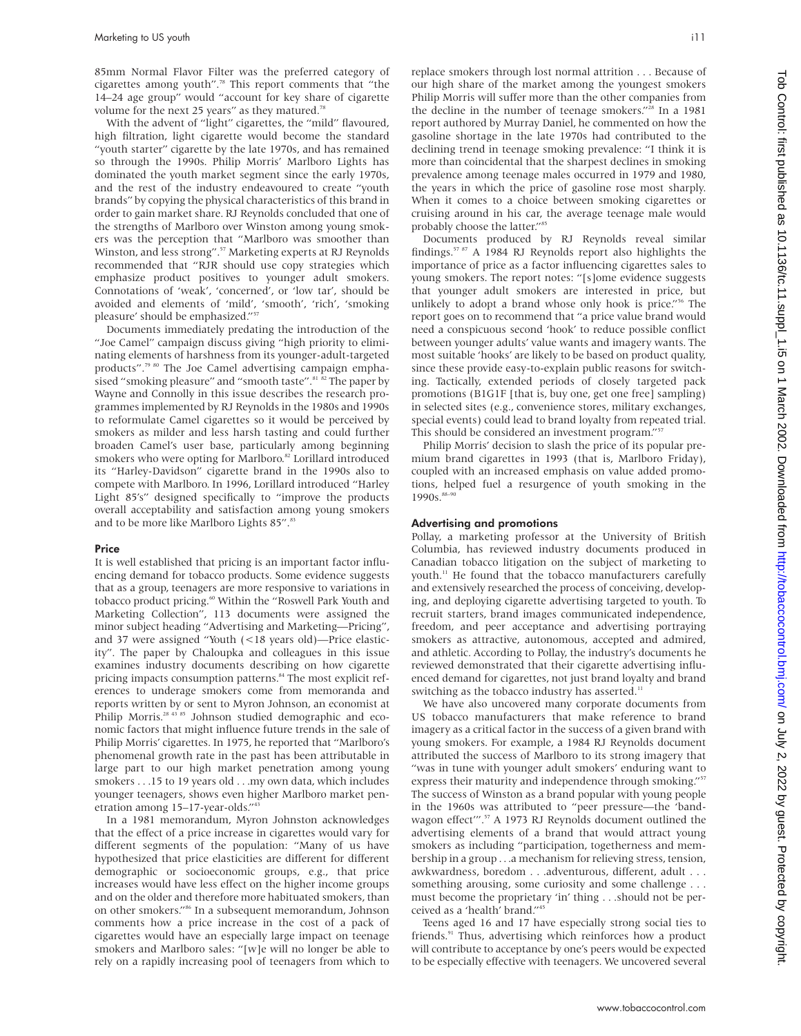85mm Normal Flavor Filter was the preferred category of cigarettes among youth".78 This report comments that "the 14–24 age group" would "account for key share of cigarette volume for the next 25 years" as they matured.<sup>78</sup>

With the advent of "light" cigarettes, the "mild" flavoured, high filtration, light cigarette would become the standard "youth starter" cigarette by the late 1970s, and has remained so through the 1990s. Philip Morris' Marlboro Lights has dominated the youth market segment since the early 1970s, and the rest of the industry endeavoured to create "youth brands" by copying the physical characteristics of this brand in order to gain market share. RJ Reynolds concluded that one of the strengths of Marlboro over Winston among young smokers was the perception that "Marlboro was smoother than Winston, and less strong".<sup>57</sup> Marketing experts at RJ Reynolds recommended that "RJR should use copy strategies which emphasize product positives to younger adult smokers. Connotations of 'weak', 'concerned', or 'low tar', should be avoided and elements of 'mild', 'smooth', 'rich', 'smoking pleasure' should be emphasized."<sup>57</sup>

Documents immediately predating the introduction of the "Joe Camel" campaign discuss giving "high priority to eliminating elements of harshness from its younger-adult-targeted products".<sup>79 80</sup> The Joe Camel advertising campaign emphasised "smoking pleasure" and "smooth taste".<sup>81</sup> 82 The paper by Wayne and Connolly in this issue describes the research programmes implemented by RJ Reynolds in the 1980s and 1990s to reformulate Camel cigarettes so it would be perceived by smokers as milder and less harsh tasting and could further broaden Camel's user base, particularly among beginning smokers who were opting for Marlboro.<sup>82</sup> Lorillard introduced its "Harley-Davidson" cigarette brand in the 1990s also to compete with Marlboro. In 1996, Lorillard introduced "Harley Light 85's" designed specifically to "improve the products overall acceptability and satisfaction among young smokers and to be more like Marlboro Lights 85".<sup>83</sup>

#### Price

It is well established that pricing is an important factor influencing demand for tobacco products. Some evidence suggests that as a group, teenagers are more responsive to variations in tobacco product pricing.60 Within the "Roswell Park Youth and Marketing Collection", 113 documents were assigned the minor subject heading "Advertising and Marketing—Pricing", and 37 were assigned "Youth (<18 years old)—Price elasticity". The paper by Chaloupka and colleagues in this issue examines industry documents describing on how cigarette pricing impacts consumption patterns.<sup>84</sup> The most explicit references to underage smokers come from memoranda and reports written by or sent to Myron Johnson, an economist at Philip Morris.<sup>28 43 85</sup> Johnson studied demographic and economic factors that might influence future trends in the sale of Philip Morris' cigarettes. In 1975, he reported that "Marlboro's phenomenal growth rate in the past has been attributable in large part to our high market penetration among young smokers . . .15 to 19 years old . . .my own data, which includes younger teenagers, shows even higher Marlboro market penetration among 15–17-year-olds."43

In a 1981 memorandum, Myron Johnston acknowledges that the effect of a price increase in cigarettes would vary for different segments of the population: "Many of us have hypothesized that price elasticities are different for different demographic or socioeconomic groups, e.g., that price increases would have less effect on the higher income groups and on the older and therefore more habituated smokers, than on other smokers."86 In a subsequent memorandum, Johnson comments how a price increase in the cost of a pack of cigarettes would have an especially large impact on teenage smokers and Marlboro sales: "[w]e will no longer be able to rely on a rapidly increasing pool of teenagers from which to

replace smokers through lost normal attrition ...Because of our high share of the market among the youngest smokers Philip Morris will suffer more than the other companies from the decline in the number of teenage smokers."<sup>28</sup> In a 1981 report authored by Murray Daniel, he commented on how the gasoline shortage in the late 1970s had contributed to the declining trend in teenage smoking prevalence: "I think it is more than coincidental that the sharpest declines in smoking prevalence among teenage males occurred in 1979 and 1980, the years in which the price of gasoline rose most sharply. When it comes to a choice between smoking cigarettes or cruising around in his car, the average teenage male would probably choose the latter."<sup>85</sup>

Documents produced by RJ Reynolds reveal similar findings.57 87 A 1984 RJ Reynolds report also highlights the importance of price as a factor influencing cigarettes sales to young smokers. The report notes: "[s]ome evidence suggests that younger adult smokers are interested in price, but unlikely to adopt a brand whose only hook is price."<sup>56</sup> The report goes on to recommend that "a price value brand would need a conspicuous second 'hook' to reduce possible conflict between younger adults' value wants and imagery wants. The most suitable 'hooks' are likely to be based on product quality, since these provide easy-to-explain public reasons for switching. Tactically, extended periods of closely targeted pack promotions (B1G1F [that is, buy one, get one free] sampling) in selected sites (e.g., convenience stores, military exchanges, special events) could lead to brand loyalty from repeated trial. This should be considered an investment program."<sup>57</sup>

Philip Morris' decision to slash the price of its popular premium brand cigarettes in 1993 (that is, Marlboro Friday), coupled with an increased emphasis on value added promotions, helped fuel a resurgence of youth smoking in the 1990s.<sup>88-90</sup>

#### Advertising and promotions

Pollay, a marketing professor at the University of British Columbia, has reviewed industry documents produced in Canadian tobacco litigation on the subject of marketing to youth.<sup>11</sup> He found that the tobacco manufacturers carefully and extensively researched the process of conceiving, developing, and deploying cigarette advertising targeted to youth. To recruit starters, brand images communicated independence, freedom, and peer acceptance and advertising portraying smokers as attractive, autonomous, accepted and admired, and athletic. According to Pollay, the industry's documents he reviewed demonstrated that their cigarette advertising influenced demand for cigarettes, not just brand loyalty and brand switching as the tobacco industry has asserted.<sup>11</sup>

We have also uncovered many corporate documents from US tobacco manufacturers that make reference to brand imagery as a critical factor in the success of a given brand with young smokers. For example, a 1984 RJ Reynolds document attributed the success of Marlboro to its strong imagery that "was in tune with younger adult smokers' enduring want to express their maturity and independence through smoking." The success of Winston as a brand popular with young people in the 1960s was attributed to "peer pressure—the 'bandwagon effect'".57 A 1973 RJ Reynolds document outlined the advertising elements of a brand that would attract young smokers as including "participation, togetherness and membership in a group . . .a mechanism for relieving stress, tension, awkwardness, boredom . . .adventurous, different, adult . . . something arousing, some curiosity and some challenge . . . must become the proprietary 'in' thing . . .should not be perceived as a 'health' brand."45

Teens aged 16 and 17 have especially strong social ties to friends.<sup>91</sup> Thus, advertising which reinforces how a product will contribute to acceptance by one's peers would be expected to be especially effective with teenagers. We uncovered several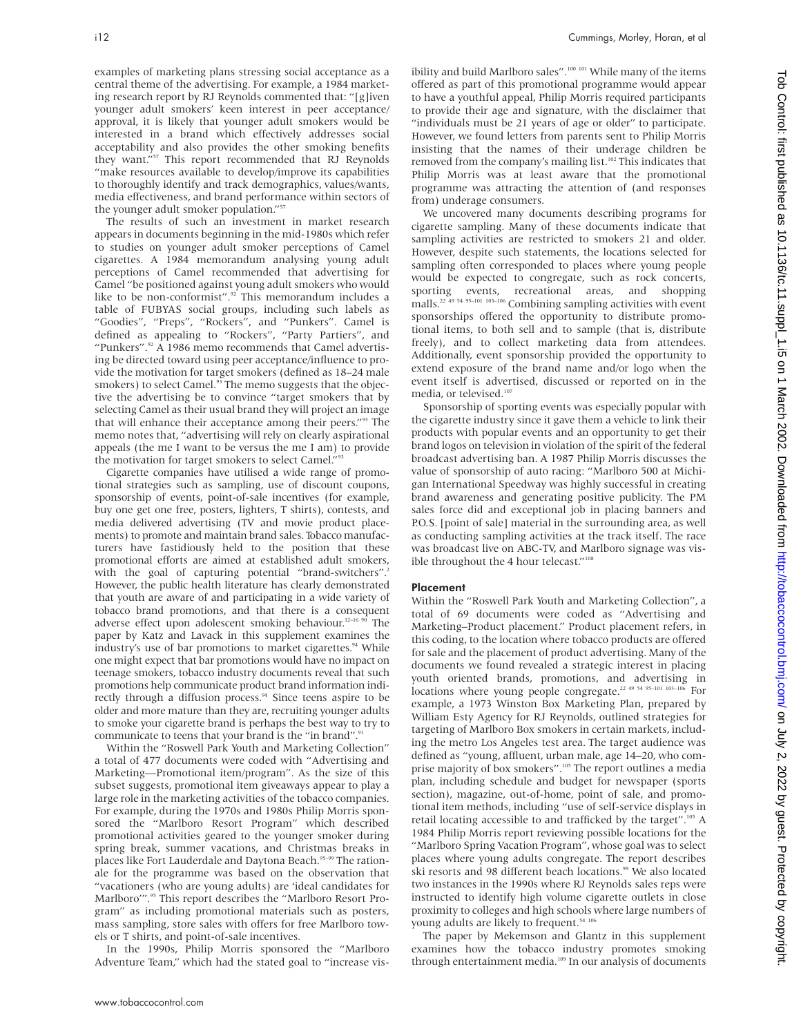examples of marketing plans stressing social acceptance as a central theme of the advertising. For example, a 1984 marketing research report by RJ Reynolds commented that: "[g]iven younger adult smokers' keen interest in peer acceptance/ approval, it is likely that younger adult smokers would be interested in a brand which effectively addresses social acceptability and also provides the other smoking benefits they want."57 This report recommended that RJ Reynolds "make resources available to develop/improve its capabilities to thoroughly identify and track demographics, values/wants, media effectiveness, and brand performance within sectors of the younger adult smoker population."<sup>57</sup>

The results of such an investment in market research appears in documents beginning in the mid-1980s which refer to studies on younger adult smoker perceptions of Camel cigarettes. A 1984 memorandum analysing young adult perceptions of Camel recommended that advertising for Camel "be positioned against young adult smokers who would like to be non-conformist".<sup>92</sup> This memorandum includes a table of FUBYAS social groups, including such labels as "Goodies", "Preps", "Rockers", and "Punkers". Camel is defined as appealing to "Rockers", "Party Partiers", and "Punkers".<sup>92</sup> A 1986 memo recommends that Camel advertising be directed toward using peer acceptance/influence to provide the motivation for target smokers (defined as 18–24 male smokers) to select Camel.<sup>93</sup> The memo suggests that the objective the advertising be to convince "target smokers that by selecting Camel as their usual brand they will project an image that will enhance their acceptance among their peers."<sup>93</sup> The memo notes that, "advertising will rely on clearly aspirational appeals (the me I want to be versus the me I am) to provide the motivation for target smokers to select Camel."<sup>93</sup>

Cigarette companies have utilised a wide range of promotional strategies such as sampling, use of discount coupons, sponsorship of events, point-of-sale incentives (for example, buy one get one free, posters, lighters, T shirts), contests, and media delivered advertising (TV and movie product placements) to promote and maintain brand sales. Tobacco manufacturers have fastidiously held to the position that these promotional efforts are aimed at established adult smokers, with the goal of capturing potential "brand-switchers" However, the public health literature has clearly demonstrated that youth are aware of and participating in a wide variety of tobacco brand promotions, and that there is a consequent adverse effect upon adolescent smoking behaviour.<sup>12-16 90</sup> The paper by Katz and Lavack in this supplement examines the industry's use of bar promotions to market cigarettes.<sup>94</sup> While one might expect that bar promotions would have no impact on teenage smokers, tobacco industry documents reveal that such promotions help communicate product brand information indirectly through a diffusion process.<sup>94</sup> Since teens aspire to be older and more mature than they are, recruiting younger adults to smoke your cigarette brand is perhaps the best way to try to communicate to teens that your brand is the "in brand".<sup>91</sup>

Within the "Roswell Park Youth and Marketing Collection" a total of 477 documents were coded with "Advertising and Marketing—Promotional item/program". As the size of this subset suggests, promotional item giveaways appear to play a large role in the marketing activities of the tobacco companies. For example, during the 1970s and 1980s Philip Morris sponsored the "Marlboro Resort Program" which described promotional activities geared to the younger smoker during spring break, summer vacations, and Christmas breaks in places like Fort Lauderdale and Daytona Beach.<sup>95-99</sup> The rationale for the programme was based on the observation that "vacationers (who are young adults) are 'ideal candidates for Marlboro'".<sup>95</sup> This report describes the "Marlboro Resort Program" as including promotional materials such as posters, mass sampling, store sales with offers for free Marlboro towels or T shirts, and point-of-sale incentives.

In the 1990s, Philip Morris sponsored the "Marlboro Adventure Team," which had the stated goal to "increase visibility and build Marlboro sales".<sup>100 101</sup> While many of the items offered as part of this promotional programme would appear to have a youthful appeal, Philip Morris required participants to provide their age and signature, with the disclaimer that "individuals must be 21 years of age or older" to participate. However, we found letters from parents sent to Philip Morris insisting that the names of their underage children be removed from the company's mailing list.<sup>102</sup> This indicates that Philip Morris was at least aware that the promotional programme was attracting the attention of (and responses from) underage consumers.

We uncovered many documents describing programs for cigarette sampling. Many of these documents indicate that sampling activities are restricted to smokers 21 and older. However, despite such statements, the locations selected for sampling often corresponded to places where young people would be expected to congregate, such as rock concerts, sporting events, recreational areas, and shopping malls.<sup>22 49</sup> <sup>54 95</sup>–<sup>101</sup> <sup>103</sup>–<sup>106</sup> Combining sampling activities with event sponsorships offered the opportunity to distribute promotional items, to both sell and to sample (that is, distribute freely), and to collect marketing data from attendees. Additionally, event sponsorship provided the opportunity to extend exposure of the brand name and/or logo when the event itself is advertised, discussed or reported on in the media, or televised.<sup>107</sup>

Sponsorship of sporting events was especially popular with the cigarette industry since it gave them a vehicle to link their products with popular events and an opportunity to get their brand logos on television in violation of the spirit of the federal broadcast advertising ban. A 1987 Philip Morris discusses the value of sponsorship of auto racing: "Marlboro 500 at Michigan International Speedway was highly successful in creating brand awareness and generating positive publicity. The PM sales force did and exceptional job in placing banners and P.O.S. [point of sale] material in the surrounding area, as well as conducting sampling activities at the track itself. The race was broadcast live on ABC-TV, and Marlboro signage was visible throughout the 4 hour telecast."<sup>108</sup>

#### Placement

Within the "Roswell Park Youth and Marketing Collection", a total of 69 documents were coded as "Advertising and Marketing–Product placement." Product placement refers, in this coding, to the location where tobacco products are offered for sale and the placement of product advertising. Many of the documents we found revealed a strategic interest in placing youth oriented brands, promotions, and advertising in locations where young people congregate.<sup>22 49 54 95-101 103-106</sup> For example, a 1973 Winston Box Marketing Plan, prepared by William Esty Agency for RJ Reynolds, outlined strategies for targeting of Marlboro Box smokers in certain markets, including the metro Los Angeles test area. The target audience was defined as "young, affluent, urban male, age 14–20, who comprise majority of box smokers".<sup>105</sup> The report outlines a media plan, including schedule and budget for newspaper (sports section), magazine, out-of-home, point of sale, and promotional item methods, including "use of self-service displays in retail locating accessible to and trafficked by the target".<sup>105</sup> A 1984 Philip Morris report reviewing possible locations for the "Marlboro Spring Vacation Program", whose goal was to select places where young adults congregate. The report describes ski resorts and 98 different beach locations.<sup>99</sup> We also located two instances in the 1990s where RJ Reynolds sales reps were instructed to identify high volume cigarette outlets in close proximity to colleges and high schools where large numbers of young adults are likely to frequent.<sup>54 10</sup>

The paper by Mekemson and Glantz in this supplement examines how the tobacco industry promotes smoking through entertainment media.<sup>109</sup> In our analysis of documents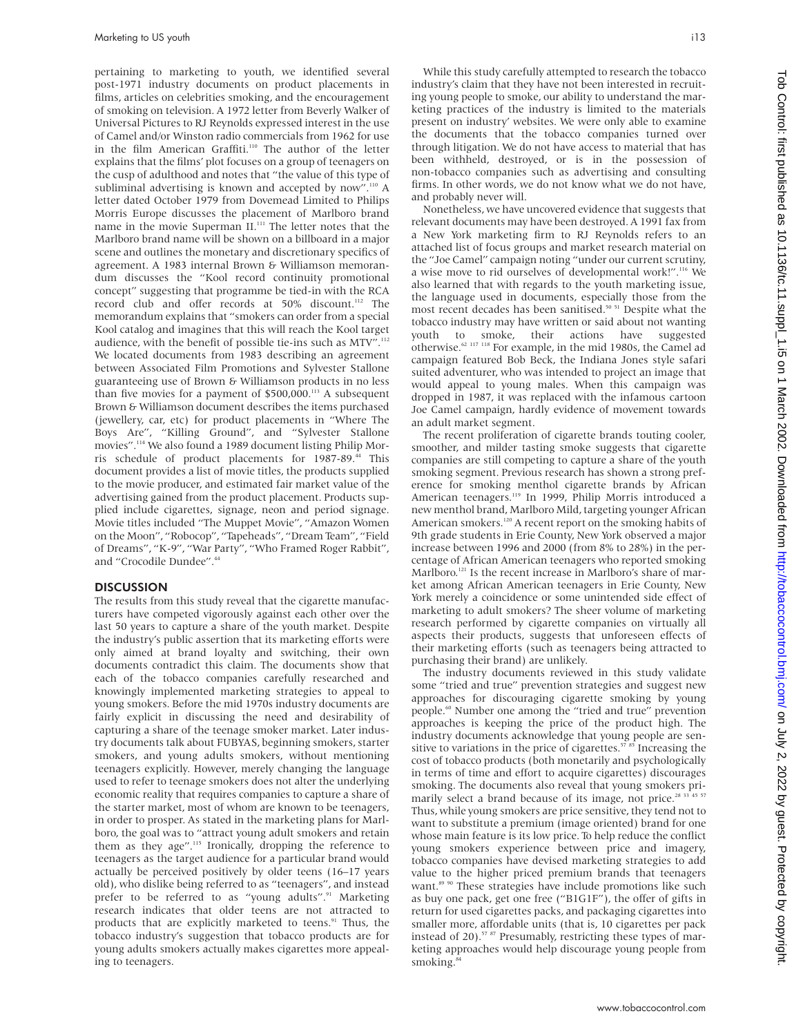pertaining to marketing to youth, we identified several post-1971 industry documents on product placements in films, articles on celebrities smoking, and the encouragement of smoking on television. A 1972 letter from Beverly Walker of Universal Pictures to RJ Reynolds expressed interest in the use of Camel and/or Winston radio commercials from 1962 for use in the film American Graffiti.<sup>110</sup> The author of the letter explains that the films' plot focuses on a group of teenagers on the cusp of adulthood and notes that "the value of this type of subliminal advertising is known and accepted by now".<sup>110</sup> A letter dated October 1979 from Dovemead Limited to Philips Morris Europe discusses the placement of Marlboro brand name in the movie Superman II.<sup>111</sup> The letter notes that the Marlboro brand name will be shown on a billboard in a major scene and outlines the monetary and discretionary specifics of agreement. A 1983 internal Brown & Williamson memorandum discusses the "Kool record continuity promotional concept" suggesting that programme be tied-in with the RCA record club and offer records at 50% discount.<sup>112</sup> The memorandum explains that "smokers can order from a special Kool catalog and imagines that this will reach the Kool target audience, with the benefit of possible tie-ins such as MTV".<sup>112</sup> We located documents from 1983 describing an agreement between Associated Film Promotions and Sylvester Stallone guaranteeing use of Brown & Williamson products in no less than five movies for a payment of  $$500,000$ .<sup>113</sup> A subsequent Brown & Williamson document describes the items purchased (jewellery, car, etc) for product placements in "Where The Boys Are", "Killing Ground", and "Sylvester Stallone movies".114 We also found a 1989 document listing Philip Morris schedule of product placements for 1987-89.<sup>44</sup> This document provides a list of movie titles, the products supplied to the movie producer, and estimated fair market value of the advertising gained from the product placement. Products supplied include cigarettes, signage, neon and period signage. Movie titles included "The Muppet Movie", "Amazon Women on the Moon", "Robocop", "Tapeheads", "Dream Team", "Field of Dreams", "K-9", "War Party", "Who Framed Roger Rabbit", and "Crocodile Dundee".44

#### **DISCUSSION**

The results from this study reveal that the cigarette manufacturers have competed vigorously against each other over the last 50 years to capture a share of the youth market. Despite the industry's public assertion that its marketing efforts were only aimed at brand loyalty and switching, their own documents contradict this claim. The documents show that each of the tobacco companies carefully researched and knowingly implemented marketing strategies to appeal to young smokers. Before the mid 1970s industry documents are fairly explicit in discussing the need and desirability of capturing a share of the teenage smoker market. Later industry documents talk about FUBYAS, beginning smokers, starter smokers, and young adults smokers, without mentioning teenagers explicitly. However, merely changing the language used to refer to teenage smokers does not alter the underlying economic reality that requires companies to capture a share of the starter market, most of whom are known to be teenagers, in order to prosper. As stated in the marketing plans for Marlboro, the goal was to "attract young adult smokers and retain them as they age".<sup>115</sup> Ironically, dropping the reference to teenagers as the target audience for a particular brand would actually be perceived positively by older teens (16–17 years old), who dislike being referred to as "teenagers", and instead prefer to be referred to as "young adults".<sup>91</sup> Marketing research indicates that older teens are not attracted to products that are explicitly marketed to teens.<sup>91</sup> Thus, the tobacco industry's suggestion that tobacco products are for young adults smokers actually makes cigarettes more appealing to teenagers.

While this study carefully attempted to research the tobacco industry's claim that they have not been interested in recruiting young people to smoke, our ability to understand the marketing practices of the industry is limited to the materials present on industry' websites. We were only able to examine the documents that the tobacco companies turned over through litigation. We do not have access to material that has been withheld, destroyed, or is in the possession of non-tobacco companies such as advertising and consulting firms. In other words, we do not know what we do not have, and probably never will.

Nonetheless, we have uncovered evidence that suggests that relevant documents may have been destroyed. A 1991 fax from a New York marketing firm to RJ Reynolds refers to an attached list of focus groups and market research material on the "Joe Camel" campaign noting "under our current scrutiny, a wise move to rid ourselves of developmental work!".116 We also learned that with regards to the youth marketing issue, the language used in documents, especially those from the most recent decades has been sanitised.<sup>50 51</sup> Despite what the tobacco industry may have written or said about not wanting youth to smoke, their actions have suggested otherwise.62 117 118 For example, in the mid 1980s, the Camel ad campaign featured Bob Beck, the Indiana Jones style safari suited adventurer, who was intended to project an image that would appeal to young males. When this campaign was dropped in 1987, it was replaced with the infamous cartoon Joe Camel campaign, hardly evidence of movement towards an adult market segment.

The recent proliferation of cigarette brands touting cooler, smoother, and milder tasting smoke suggests that cigarette companies are still competing to capture a share of the youth smoking segment. Previous research has shown a strong preference for smoking menthol cigarette brands by African American teenagers.<sup>119</sup> In 1999, Philip Morris introduced a new menthol brand, Marlboro Mild, targeting younger African American smokers.<sup>120</sup> A recent report on the smoking habits of 9th grade students in Erie County, New York observed a major increase between 1996 and 2000 (from 8% to 28%) in the percentage of African American teenagers who reported smoking Marlboro.<sup>121</sup> Is the recent increase in Marlboro's share of market among African American teenagers in Erie County, New York merely a coincidence or some unintended side effect of marketing to adult smokers? The sheer volume of marketing research performed by cigarette companies on virtually all aspects their products, suggests that unforeseen effects of their marketing efforts (such as teenagers being attracted to purchasing their brand) are unlikely.

The industry documents reviewed in this study validate some "tried and true" prevention strategies and suggest new approaches for discouraging cigarette smoking by young people.<sup>60</sup> Number one among the "tried and true" prevention approaches is keeping the price of the product high. The industry documents acknowledge that young people are sensitive to variations in the price of cigarettes.<sup>57 85</sup> Increasing the cost of tobacco products (both monetarily and psychologically in terms of time and effort to acquire cigarettes) discourages smoking. The documents also reveal that young smokers primarily select a brand because of its image, not price. $2833$ Thus, while young smokers are price sensitive, they tend not to want to substitute a premium (image oriented) brand for one whose main feature is its low price. To help reduce the conflict young smokers experience between price and imagery, tobacco companies have devised marketing strategies to add value to the higher priced premium brands that teenagers want.<sup>89 90</sup> These strategies have include promotions like such as buy one pack, get one free ("B1G1F"), the offer of gifts in return for used cigarettes packs, and packaging cigarettes into smaller more, affordable units (that is, 10 cigarettes per pack instead of 20). $57$   $87$  Presumably, restricting these types of marketing approaches would help discourage young people from smoking.<sup>8</sup>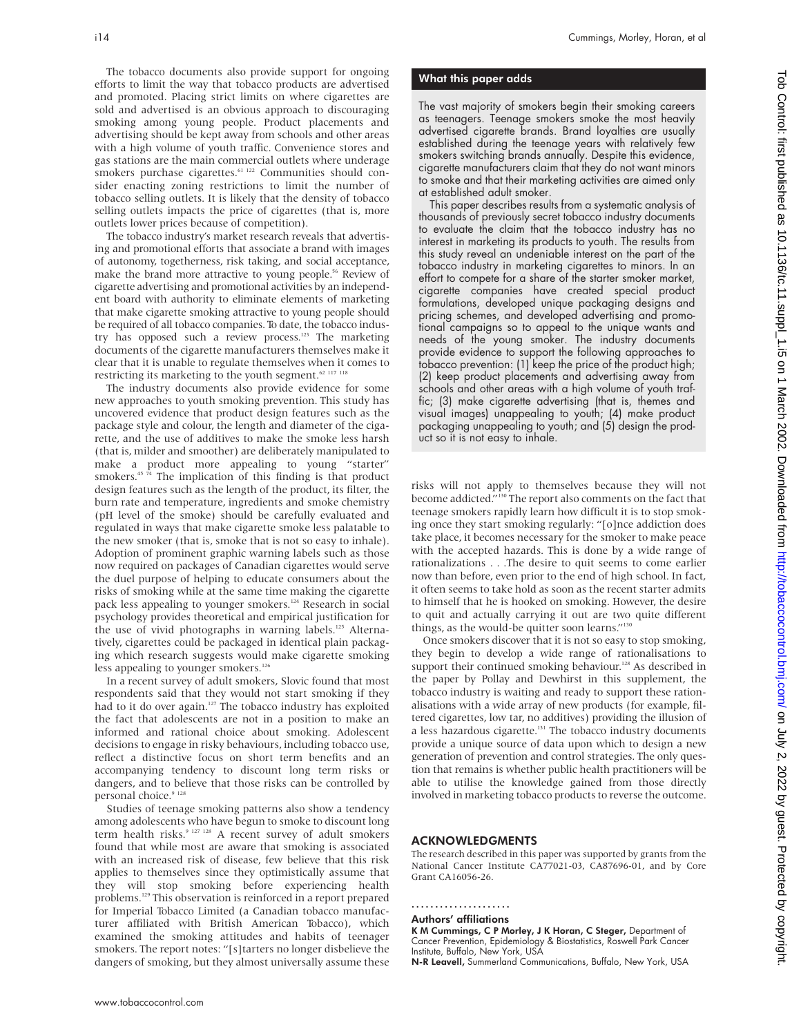The tobacco documents also provide support for ongoing efforts to limit the way that tobacco products are advertised and promoted. Placing strict limits on where cigarettes are sold and advertised is an obvious approach to discouraging smoking among young people. Product placements and advertising should be kept away from schools and other areas with a high volume of youth traffic. Convenience stores and gas stations are the main commercial outlets where underage smokers purchase cigarettes.<sup>61 122</sup> Communities should consider enacting zoning restrictions to limit the number of tobacco selling outlets. It is likely that the density of tobacco selling outlets impacts the price of cigarettes (that is, more outlets lower prices because of competition).

The tobacco industry's market research reveals that advertising and promotional efforts that associate a brand with images of autonomy, togetherness, risk taking, and social acceptance, make the brand more attractive to young people.<sup>56</sup> Review of cigarette advertising and promotional activities by an independent board with authority to eliminate elements of marketing that make cigarette smoking attractive to young people should be required of all tobacco companies. To date, the tobacco industry has opposed such a review process.<sup>123</sup> The marketing documents of the cigarette manufacturers themselves make it clear that it is unable to regulate themselves when it comes to restricting its marketing to the youth segment.<sup>62 117 118</sup>

The industry documents also provide evidence for some new approaches to youth smoking prevention. This study has uncovered evidence that product design features such as the package style and colour, the length and diameter of the cigarette, and the use of additives to make the smoke less harsh (that is, milder and smoother) are deliberately manipulated to make a product more appealing to young "starter" smokers.<sup>45 74</sup> The implication of this finding is that product design features such as the length of the product, its filter, the burn rate and temperature, ingredients and smoke chemistry (pH level of the smoke) should be carefully evaluated and regulated in ways that make cigarette smoke less palatable to the new smoker (that is, smoke that is not so easy to inhale). Adoption of prominent graphic warning labels such as those now required on packages of Canadian cigarettes would serve the duel purpose of helping to educate consumers about the risks of smoking while at the same time making the cigarette pack less appealing to younger smokers.<sup>124</sup> Research in social psychology provides theoretical and empirical justification for the use of vivid photographs in warning labels.<sup>125</sup> Alternatively, cigarettes could be packaged in identical plain packaging which research suggests would make cigarette smoking less appealing to younger smokers.<sup>126</sup>

In a recent survey of adult smokers, Slovic found that most respondents said that they would not start smoking if they had to it do over again.<sup>127</sup> The tobacco industry has exploited the fact that adolescents are not in a position to make an informed and rational choice about smoking. Adolescent decisions to engage in risky behaviours, including tobacco use, reflect a distinctive focus on short term benefits and an accompanying tendency to discount long term risks or dangers, and to believe that those risks can be controlled by personal choice.<sup>9</sup><sup>12</sup>

Studies of teenage smoking patterns also show a tendency among adolescents who have begun to smoke to discount long term health risks.<sup>9 127 128</sup> A recent survey of adult smokers found that while most are aware that smoking is associated with an increased risk of disease, few believe that this risk applies to themselves since they optimistically assume that they will stop smoking before experiencing health problems.129 This observation is reinforced in a report prepared for Imperial Tobacco Limited (a Canadian tobacco manufacturer affiliated with British American Tobacco), which examined the smoking attitudes and habits of teenager smokers. The report notes: "[s]tarters no longer disbelieve the dangers of smoking, but they almost universally assume these

## What this paper adds

The vast majority of smokers begin their smoking careers as teenagers. Teenage smokers smoke the most heavily advertised cigarette brands. Brand loyalties are usually established during the teenage years with relatively few smokers switching brands annually. Despite this evidence, cigarette manufacturers claim that they do not want minors to smoke and that their marketing activities are aimed only at established adult smoker.

This paper describes results from a systematic analysis of thousands of previously secret tobacco industry documents to evaluate the claim that the tobacco industry has no interest in marketing its products to youth. The results from this study reveal an undeniable interest on the part of the tobacco industry in marketing cigarettes to minors. In an effort to compete for a share of the starter smoker market, cigarette companies have created special product formulations, developed unique packaging designs and pricing schemes, and developed advertising and promotional campaigns so to appeal to the unique wants and needs of the young smoker. The industry documents provide evidence to support the following approaches to tobacco prevention: (1) keep the price of the product high; (2) keep product placements and advertising away from schools and other areas with a high volume of youth traffic; (3) make cigarette advertising (that is, themes and visual images) unappealing to youth; (4) make product packaging unappealing to youth; and (5) design the product so it is not easy to inhale.

risks will not apply to themselves because they will not become addicted."130 The report also comments on the fact that teenage smokers rapidly learn how difficult it is to stop smoking once they start smoking regularly: "[o]nce addiction does take place, it becomes necessary for the smoker to make peace with the accepted hazards. This is done by a wide range of rationalizations . . .The desire to quit seems to come earlier now than before, even prior to the end of high school. In fact, it often seems to take hold as soon as the recent starter admits to himself that he is hooked on smoking. However, the desire to quit and actually carrying it out are two quite different things, as the would-be quitter soon learns."<sup>130</sup>

Once smokers discover that it is not so easy to stop smoking, they begin to develop a wide range of rationalisations to support their continued smoking behaviour.<sup>128</sup> As described in the paper by Pollay and Dewhirst in this supplement, the tobacco industry is waiting and ready to support these rationalisations with a wide array of new products (for example, filtered cigarettes, low tar, no additives) providing the illusion of a less hazardous cigarette.<sup>131</sup> The tobacco industry documents provide a unique source of data upon which to design a new generation of prevention and control strategies. The only question that remains is whether public health practitioners will be able to utilise the knowledge gained from those directly involved in marketing tobacco products to reverse the outcome.

#### ACKNOWLEDGMENTS

The research described in this paper was supported by grants from the National Cancer Institute CA77021-03, CA87696-01, and by Core Grant CA16056-26.

..................... Authors' affiliations

K M Cummings, C P Morley, J K Horan, C Steger, Department of

Cancer Prevention, Epidemiology & Biostatistics, Roswell Park Cancer Institute, Buffalo, New York, USA N-R Leavell, Summerland Communications, Buffalo, New York, USA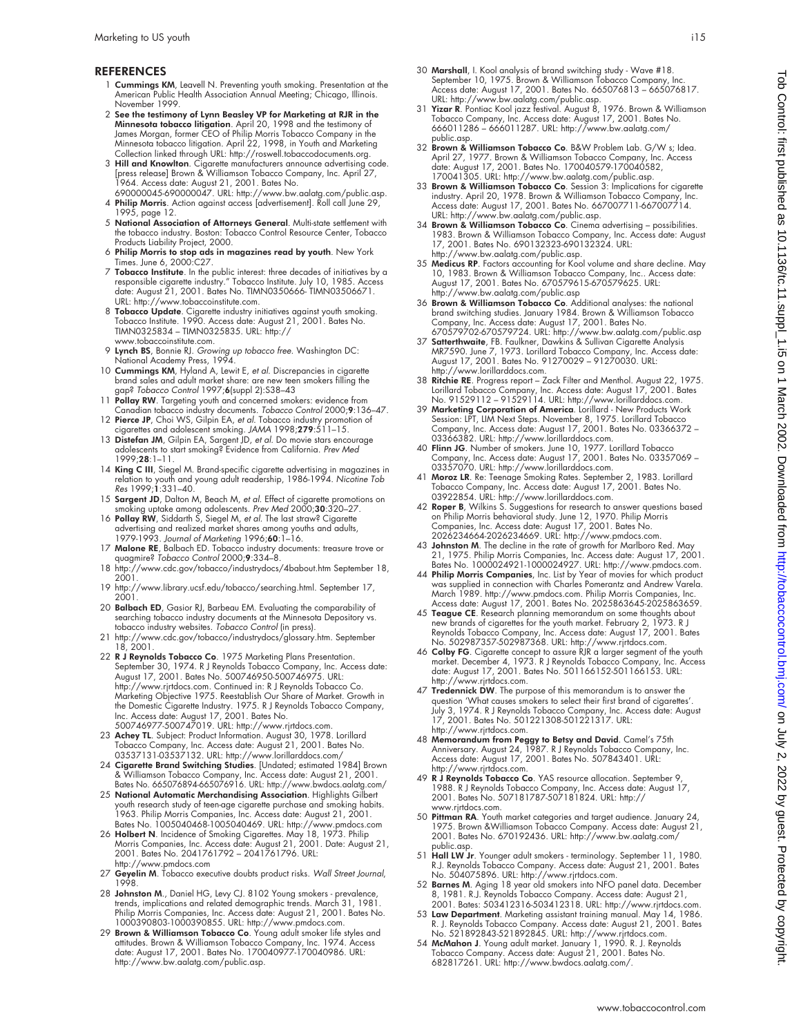#### **REFERENCES**

- 1 Cummings KM, Leavell N. Preventing youth smoking. Presentation at the American Public Health Association Annual Meeting; Chicago, Illinois. November 1999.
- 2 See the testimony of Lynn Beasley VP for Marketing at RJR in the Minnesota tobacco litigation. April 20, 1998 and the testimony of James Morgan, former CEO of Philip Morris Tobacco Company in the Minnesota tobacco litigation. April 22, 1998, in Youth and Marketing Collection linked through URL: http://roswell.tobaccodocuments.org.
- 3 Hill and Knowlton. Cigarette manufacturers announce advertising code. [press release] Brown & Williamson Tobacco Company, Inc. April 27, 1964. Access date: August 21, 2001. Bates No. 690000045-690000047. URL: http://www.bw.aalatg.com/public.asp.
- 4 Philip Morris. Action against access [advertisement]. Roll call June 29, 1995, page 12.
- 5 National Association of Attorneys General. Multi-state settlement with the tobacco industry. Boston: Tobacco Control Resource Center, Tobacco Products Liability Project, 2000.
- 6 Philip Morris to stop ads in magazines read by youth. New York Times. June 6, 2000:C27.
- 7 Tobacco Institute. In the public interest: three decades of initiatives by a responsible cigarette industry." Tobacco Institute. July 10, 1985. Access date: August 21, 2001. Bates No. TIMN0350666- TIMN03506671. URL: http://www.tobaccoinstitute.com.
- 8 Tobacco Update. Cigarette industry initiatives against youth smoking.<br>Tobacco Institute. 1990. Access date: August 21, 2001. Bates No. TIMN0325834 – TIMN0325835. URL: http:// www.tobaccoinstitute.com.
- 
- 9 Lynch BS, Bonnie RJ. *Growing up tobacco free*. Washington DC:<br>National Academy Press, 1994.<br>10 Cummings KM, Hyland A, Lewit E, *et al.* Discrepancies in cigarette<br>brand sales and adult market share: are new teen smokers gap? Tobacco Control 1997;6(suppl 2):S38-43
- 11 Pollay RW. Targeting youth and concerned smokers: evidence from Canadian tobacco industry documents. Tobacco Control 2000;9:136–47.
- 12 **Pierce JP**, Choi WS, Gilpin EA, *et al*. Tobacco industry promotion of<br>cigarettes and adolescent smoking. JAMA 1998;**279**:511–15.<br>13 **Distefan JM**, Gilpin EA, Sargent JD, *et al*. Do movie stars encourage
- adolescents to start smoking? Evidence from California. Prev Med 1999;28:1–11.
- 14 King C III, Siegel M. Brand-specific cigarette advertising in magazines in relation to youth and young adult readership, 1986-1994. Nicotine Tob Res 1999;1:331–40.
- 
- 15 **Sargent JD**, Dalton M, Beach M, *et al.* Effect of cigarette promotions on smoking uptake among adolescents. *Prev Med* 2000;30:320–27.<br>16 **Pollay RW**, Siddarth S, Siegel M, *et al.* The last straw<sup>e</sup> Cigarette about t
- 17 Malone RE, Balbach ED. Tobacco industry documents: treasure trove or quagmire? Tobacco Control 2000;9:334–8.
- 18 http://www.cdc.gov/tobacco/industrydocs/4babout.htm September 18, 2001.
- 19 http://www.library.ucsf.edu/tobacco/searching.html. September 17, 2001.
- 20 Balbach ED, Gasior RJ, Barbeau EM. Evaluating the comparability of searching tobacco industry documents at the Minnesota Depository vs.<br>tobacco industry websites. *Tobacco Control* (in press).
- 21 http://www.cdc.gov/tobacco/industrydocs/glossary.htm. September 18, 2001.
- 22 **R J Reynolds Tobacco Co**. 1975 Marketing Plans Presentation.<br>September 30, 1974. R J Reynolds Tobacco Company, Inc. Access date:<br>August 17, 2001. Bates No. 500746950-500746975. URL: http://www.rjrtdocs.com. Continued in: R J Reynolds Tobacco Co. Marketing Objective 1975. Reestablish Our Share of Market. Growth in<br>the Domestic Cigarette Industry. 1975. R J Reynolds Tobacco Company,<br>Inc. Access date: August 17, 2001. Bates No.<br>500746977-500747019. URL: http://www.rj
- 23 Achey TL. Subject: Product Information. August 30, 1978. Lorillard Tobacco Company, Inc. Access date: August 21, 2001. Bates No. 03537131-03537132. URL: http://www.lorillarddocs.com/
- 24 Cigarette Brand Switching Studies. [Undated; estimated 1984] Brown & Williamson Tobacco Company, Inc. Access date: August 21, 2001. Bates No. 665076894-665076916. URL: http://www.bwdocs.aalatg.com/
- 25 National Automatic Merchandising Association. Highlights Gilbert youth research study of teen-age cigarette purchase and smoking habits. 1963. Philip Morris Companies, Inc. Access date: August 21, 2001. Bates No. 1005040468-1005040469. URL: http://www.pmdocs.com
- 26 Holbert N. Incidence of Smoking Cigarettes. May 18, 1973. Philip Morris Companies, Inc. Access date: August 21, 2001. Date: August 21, 2001. Bates No. 2041761792 – 2041761796. URL: http://www.pmdocs.com
- 27 Geyelin M. Tobacco executive doubts product risks. Wall Street Journal, 1998.
- 1998.<br>
28 Johnston M., Daniel HG, Levy CJ. 8102 Young smokers prevalence,<br>
1998.<br>
1998.<br>
1998.<br>
1998.<br>
1998.<br>
29 Brown & Williamson Tobacco Co. Young and the styles of the styles No.<br>
1000390803-1000390855. URL: http://w
- http://www.bw.aalatg.com/public.asp.
- 30 Marshall, I. Kool analysis of brand switching study Wave #18. September 10, 1975. Brown & Williamson Tobacco Company, Inc.
- Access date: August 17, 2001. Bates No. 665076813 665076817.<br>URL: http://www.bw.aalatg.com/public.asp.<br>31 **Yizar R**. Pontiac Kool jazz festival. August 8, 1976. Brown & Williamson<br>Tobacco Company, Inc. Access date: Augus public.asp.
- 32 Brown & Williamson Tobacco Co. B&W Problem Lab. G/W s; Idea. April 27, 1977. Brown & Williamson Tobacco Company, Inc. Access date: August 17, 2001. Bates No. 170040579-170040582, 170041305. URL: http://www.bw.aalatg.com/public.asp.
- 33 Brown & Williamson Tobacco Co. Session 3: Implications for cigarette industry. April 20, 1978. Brown & Williamson Tobacco Company, Inc. Access date: August 17, 2001. Bates No. 667007711-667007714. URL: http://www.bw.aalatg.com/public.asp.
- 34 Brown & Williamson Tobacco Co. Cinema advertising possibilities. 1983. Brown & Williamson Tobacco Company, Inc. Access date: August 17, 2001. Bates No. 690132323-690132324. URL: http://www.bw.aalatg.com/public.asp.
- 35 Medicus RP. Factors accounting for Kool volume and share decline. May 10, 1983. Brown & Williamson Tobacco Company, Inc.. Access date: August 17, 2001. Bates No. 670579615-670579625. URL: http://www.bw.aalatg.com/public.asp
- 36 **Brown & Williamson Tobacco Co**. Additional analyses: the national strand switching studies. January 1984. Brown & Williamson Tobacco Company, Inc. Access date: August 17, 2001. Bates No.<br>670579702-670579724. URL: http:
- http://www.lorillarddocs.com.
- 38 Ritchie RE. Progress report Zack Filter and Menthol. August 22, 1975. Lorillard Tobacco Company, Inc. Access date: August 17, 2001. Bates No. 91529112 91529114. URL: http://www.lorillarddocs.com.
- 39 Marketing Corporation of America. Lorillard New Products Work Session: LPT, LIM Next Steps. November 8, 1975. Lorillard Tobacco Company, Inc. Access date: August 17, 2001. Bates No. 03366372 –
- 
- 03366382. URL: http://www.lorillarddocs.com.<br>40 Finn JG. Number of smokers. June 10, 1977. Lorillard Tobacco<br>Company, Inc. Access date: August 17, 2001. Bates No. 03357069 –<br>03357070. URL: http://www.lorillarddocs.com.<br>41
- 42 **Roper B**, Wilkins S. Suggestions for research to answer questions based<br>on Philip Morris behavioral study. June 12, 1970. Philip Morris<br>Companies, Inc. Access date: August 17, 2001. Bates No.<br>2026234664-2026234669. URL
- 43 Johnston M. The decline in the rate of growth for Marlboro Red. May 21, 1975. Philip Morris Companies, Inc. Access date: August 17, 2001. Bates No. 1000024921-1000024927. URL: http://www.pmdocs.com.
- 44 **Philip Morris Companies**, Inc. List by Year of movies for which product was supplied in connection with Charles Pomerantz and Andrew Varela.<br>March 1989. http://www.pmdocs.com. Philip Morris Companies, Inc.<br>Access date:
- 45 Teague CE. Research planning memorandum on some thoughts about new brands of cigarettes for the youth market. February 2, 1973. R J Reynolds Tobacco Company, Inc. Access date: August 17, 2001. Bates No. 502987357-502987368. URL: http://www.rjrtdocs.com.
- 46 Colby FG. Cigarette concept to assure RJR a larger segment of the youth market. December 4, 1973. R J Reynolds Tobacco Company, Inc. Access date: August 17, 2001. Bates No. 501166152-501166153. URL:
- http://www.rjrtdocs.com. 47 Tredennick DW. The purpose of this memorandum is to answer the question 'What causes smokers to select their first brand of cigarettes' July 3, 1974. R J Reynolds Tobacco Company, Inc. Access date: August 17, 2001. Bates No. 501221308-501221317. URL: http://www.rjrtdocs.com.
- 48 **Memorandum from Peggy to Betsy and David**. Camel's 75th<br>Anniversary. August 24, 1987. R J Reynolds Tobacco Company, Inc.<br>Access date: August 17, 2001. Bates No. 507843401. URL: http://www.rjrtdocs.com.
- 49 **R J Reynolds Tobacco Co**. YAS resource allocation. September 9,<br>1988. R J Reynolds Tobacco Company, Inc. Access date: August 17,<br>2001. Bates No. 507181787-507181824. URL: http:// www.rjrtdocs.com.
- 50 **Pittman RA**. Youth market categories and target audience. January 24,<br>1975. Brown &Williamson Tobacco Company. Access date: August 21,<br>2001. Bates No. 670192436. URL: http://www.bw.aalatg.com/ public.asp.
- 51 Hall LW Jr. Younger adult smokers terminology. September 11, 1980.
- R.J. Reynolds Tobacco Company. Access date: August 21, 2001. Bates<br>No. 504075896. URL: http://www.rjrtdocs.com.<br>52 Barnes M. Aging 18 year old snokers into NFO panel data. December<br>8, 1981. R.J. Reynolds Tobacco Company. A 2001. Bates: 503412316-503412318. URL: http://www.rjrtdocs.com.
- 53 Law Department. Marketing assistant training manual. May 14, 1986.
- R. J. Reynolds Tobacco Company. Access date: August 21, 2001. Bates<br>No. 521892843-521892845. URL: http://www.rirdocs.com.<br>54 McMahon J. Young adult market. January 1, 1990. R. J. Reynolds<br>Tobacco Company. Access date: Augu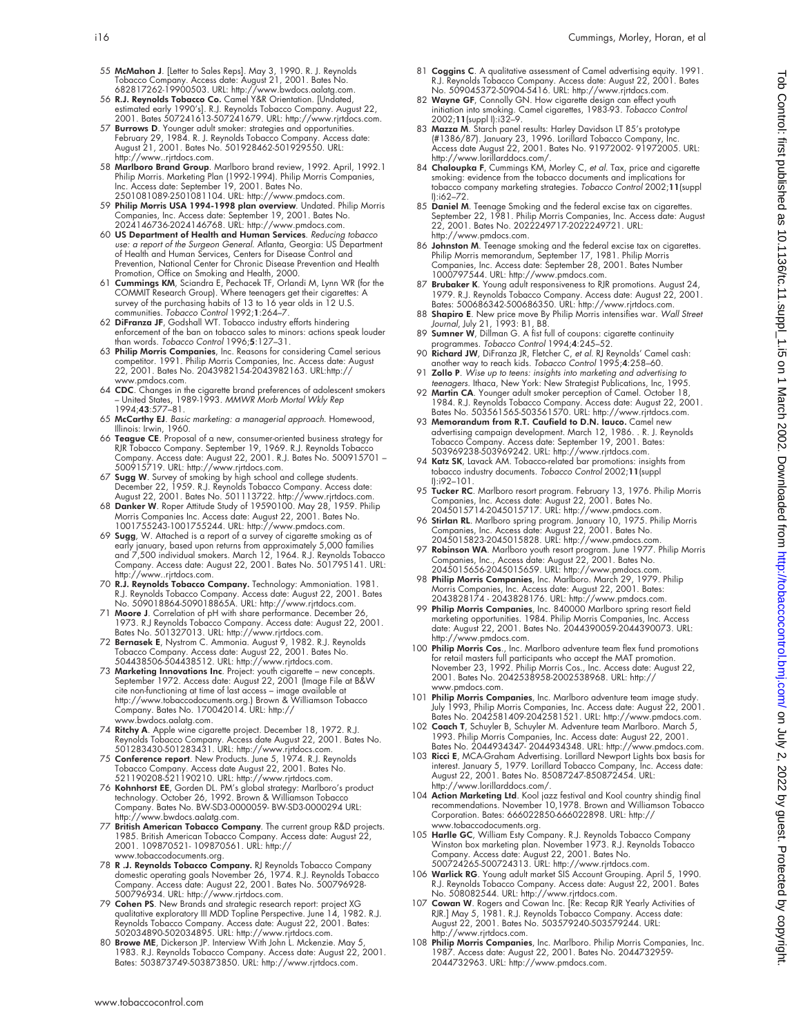protected by guest. Protected by guest. Protect publishing in the supplication of the state of Nation is on Tob Control: firsc interst as 10.11.36/tc.11.36/tc.11.36/tc.11.307. Download from the published as 10.12.  $\alpha$  202 Tob Control: first published as 10.1136/tc.11.suppl\_1.i5 on 1 March 2002. Downloaded from http://tobaccocontrol.bmj.com/ on July 2, 2022 by guest. Protected by copyright

- 55 McMahon J. [Letter to Sales Reps]. May 3, 1990. R. J. Reynolds Tobacco Company. Access date: August 21, 2001. Bates No.
- 682817262-19900503. URL: http://www.bwdocs.aalatg.com.<br>56 **R.J. Reynolds Tobacco Co**. Camel Y&R Orientation. [Undated,<br>estimated early 1990's]. R.J. Reynolds Tobacco Company. August 22,<br>2001. Bates 507241613-507241679. URL
- 57 Burrows D. Younger adult smoker: strategies and opportunities. February 29, 1984. R. J. Reynolds Tobacco Company. Access date: August 21, 2001. Bates No. 501928462-501929550. URL:
- http://www..rjrtdocs.com.<br>58 Marlboro Brand Group. Marlboro brand review, 1992. April, 1992.1<br>Philip Morris. Marketing Plan (1992-1994). Philip Morris Companies,<br>Inc. Access date: September 19, 2001. Bates No. 2501081089-2501081104. URL: http://www.pmdocs.com.
- 59 **Philip Morris USA 1994-1998 plan overview**. Undated. Philip Morris<br>Companies, Inc. Access date: September 19, 2001. Bates No.<br>2024146736-2024146768. URL: http://www.pmdocs.com.
- 60 US Department of Health and Human Services. Reducing tobacco use: a report of the Surgeon General. Atlanta, Georgia: US Department<br>of Health and Human Services, Centers for Disease Control and<br>Prevention, National Center for Chronic Disease Prevention and Health
- Promotion, Office on Smoking and Health, 2000. 61 Cummings KM, Sciandra E, Pechacek TF, Orlandi M, Lynn WR (for the COMMIT Research Group). Where teenagers get their cigarettes: A survey of the purchasing habits of 13 to 16 year olds in 12 U.S. communities. *Tobacco Control* 1992;1:264–7.<br>62 Di**Franza JF**, Godshall WT. Tobacco industry efforts hindering
- enforcement of the ban on tobacco sales to minors: actions speak louder than words. Tobacco Control 1996;5:127–31.
- 63 Philip Morris Companies, Inc. Reasons for considering Camel serious competitor. 1991. Philip Morris Companies, Inc. Access date: August 22, 2001. Bates No. 2043982154-2043982163. URL:http:// www.pmdocs.com.
- 64 CDC. Changes in the cigarette brand preferences of adolescent smokers United States, 1989-1993. MMWR Morb Mortal Wkly Rep 1994;43:577–81.
- 65 McCarthy EJ. Basic marketing: <sup>a</sup> managerial approach. Homewood, Illinois: Irwin, 1960.
- 66 Teague CE. Proposal of a new, consumer-oriented business strategy for
- RIR Tobacco Company. September 19, 1969. R.J. Reynolds Tobacco<br>Company. Access date: August 22, 2001. R.J. Bates No. 500915701 –<br>500915711 Why: http://www.ritdos.com.<br>67 Sugg W. Survey of smoking by high school and colle
- 68 Danker W. Roper Attitude Study of 19590100. May 28, 1959. Philip Morris Companies Inc. Access date: August 22, 2001. Bates No. 1001755243-1001755244. URL: http://www.pmdocs.com.
- 69 Sugg, W. Attached is a report of a survey of cigarette smoking as of early january, based upon returns from approximately 5,000 families and 7,500 individual smokers. March 12, 1964. R.J. Reynolds Tobacco Company. Access date: August 22, 2001. Bates No. 501795141. URL: http://www..rjrtdocs.com.
- 70 R.J. Reynolds Tobacco Company. Technology: Ammoniation. 1981. R.J. Reynolds Tobacco Company. Access date: August 22, 2001. Bates No. 509018864-509018865A. URL: http://www.rjrtdocs.com.
- 71 **Moore J**. Correlation of pH with share performance. December 26,<br>1973. R.J Reynolds Tobacco Company. Access date: August 22, 2001.<br>Bates No. 501327013. URL: http://www.rijtdocs.com.<br>**72 Bernasek E**, Nystrom C. Ammonia.
- Tobacco Company. Access date: August 22, 2001. Bates No. 504438506-504438512. URL: http://www.rjrtdocs.com.
- 73 Marketing Innovations Inc. Project: youth cigarette new concepts. September 1972. Access date: August 22, 2001 (Image File at B&W cite non-functioning at time of last access image available at http://www.tobaccodocuments.org.) Brown & Williamson Tobacco Company. Bates No. 170042014. URL: http:// www.bwdocs.aalatg.com.
- 74 Ritchy A. Apple wine cigarette project. December 18, 1972. R.J. Reynolds Tobacco Company. Access date August 22, 2001. Bates No. 501283430-501283431. URL: http://www.rjrtdocs.com.
- 75 Conference report. New Products. June 5, 1974. R.J. Reynolds
- Tobacco Company. Access date August 22, 2001. Bates No.<br>521190208-521190210. URL: http://www.ritrldocs.com.<br>76 **Kohnhorst EE**, Gorden DL. PM's global strategy: Marlboro's product<br>technology. October 26, 1992. Brown & Willi Company. Bates No. BW-SD3-0000059- BW-SD3-0000294 URL: http://www.bwdocs.aalatg.com.
- 77 British American Tobacco Company. The current group R&D projects. 1985. British American Tobacco Company. Access date: August 22, 2001. 109870521- 109870561. URL: http:// www.tobaccodocuments.org.
- 78 **R .J. Reynolds Tobacco Company.** RJ Reynolds Tobacco Company<br>domestic operating goals November 26, 1974. R.J. Reynolds Tobacco<br>Company. Access date: August 22, 2001. Bates No. 500796928-<br>500796934. URL: http://www.rjrt
- 79 Cohen PS. New Brands and strategic research report: project XG qualitative exploratory III MDD Topline Perspective. June 14, 1982. R.J. Reynolds Tobacco Company. Access date: August 22, 2001. Bates:<br>502034890-502034895. URL: http://www.rjrtdocs.com.<br>80 **Browe ME**, Dickerson JP. Interview With John L. Mckenzie. May 5,
- 1983. R.J. Reynolds Tobacco Company. Access date: August 22, 2001. Bates: 503873749-503873850. URL: http://www.rjrtdocs.com.
- 81 **Coggins C**. A qualitative assessment of Camel advertising equity. 1991.<br>R.J. Reynolds Tobacco Company. Access date: August 22, 2001. Bates<br>No. 509045372-50904-5416. URL: http://www.rjrtdocs.com.
- 82 Wayne GF, Connolly GN. How cigarette design can effect youth initiation into smoking. Camel cigarettes, 1983-93. Tobacco Control 2002;11(suppl I):i32–9.
- 83 **Mazza M**. Starch panel results: Harley Davidson LT 85's prototype<br>.#1386/87). January 23, 1996. Lorillard Tobacco Company, Inc.<br>Access date August 22, 2001. Bates No. 91972002- 91972005. URL: http://www.lorillarddocs.com/.
- 84 Chaloupka F, Cummings KM, Morley C, *et al*. Tax, price and cigarette smoking: evidence from the tobacco documents and implications for tobacco company marketing strategies. Tobacco Control 2002;11(suppl I):i62–72.
- 85 Daniel M. Teenage Smoking and the federal excise tax on cigarettes. September 22, 1981. Philip Morris Companies, Inc. Access date: August 22, 2001. Bates No. 2022249717-2022249721. URL: http://www.pmdocs.com.
- 86 Johnston M. Teenage smoking and the federal excise tax on cigarettes. Philip Morris memorandum, September 17, 1981. Philip Morris Companies, Inc. Access date: September 28, 2001. Bates Number
- 1000797544. URL: http://www.pmdocs.com. 87 Brubaker K. Young adult responsiveness to RJR promotions. August 24, 1979. R.J. Reynolds Tobacco Company. Access date: August 22, 2001.<br>Bates: 500686342-500686350. URL: http://www.rjrtdocs.com.<br>88 Shapiro E. New price move By Philip Morris intensifies war. Wall Street<br>Journal, July 21, 1993
- 
- 89 Sumner W, Dillman G. A fist full of coupons: cigarette continuity
- programmes. Tobacco Control 1994;4:245–52.<br>90 **Richard JW**, DiFranza JR, Fletcher C, *et al.* RI Reynolds' Camel cash:<br>another way to reach kids. Tobacco Control 1995;4:258–60.<br>91 **Zollo P**. Wise up to teens: insights into
- 92 Martin CA. Younger adult smoker perception of Camel. October 18
- 1984. R.J. Reynolds Tobacco Company. Access date: August 22, 2001. Bates No. 503561565-503561570. URL: http://www.rjrtdocs.com.
- 93 Memorandum from R.T. Caufield to D.N. Iauco. Camel new advertising campaign development. March 12, 1986. . R. J. Reynolds Tobacco Company. Access date: September 19, 2001. Bates: 503969238-503969242. URL: http://www.rjrtdocs.com.
- 94 Katz SK, Lavack AM. Tobacco-related bar promotions: insights from tobacco industry documents. Tobacco Control 2002;11(suppl I):i92–101.
- 95 Tucker RC. Marlboro resort program. February 13, 1976. Philip Morris Companies, Inc. Access date: August 22, 2001. Bates No. 2045015714-2045015717. URL: http://www.pmdocs.com.
- 96 Stirlan RL. Marlboro spring program. January 10, 1975. Philip Morris Companies, Inc. Access date: August 22, 2001. Bates No. 2045015823-2045015828. URL: http://www.pmdocs.com.
- 97 Robinson WA. Marlboro youth resort program. June 1977. Philip Morris Companies, Inc., Access date: August 22, 2001. Bates No. 2045015656-2045015659. URL: http://www.pmdocs.com.
- 98 Philip Morris Companies, Inc. Marlboro. March 29, 1979. Philip Morris Companies, Inc. Access date: August 22, 2001. Bates:
- 2043828174 2043828176. URL: http://www.pmdocs.com.<br>99 **Philip Morris Companies**, Inc. 840000 Marlboro spring resort field<br>marketing opportunities. 1984. Philip Morris Companies, Inc. Access date: August 22, 2001. Bates No. 2044390059-2044390073. URL: http://www.pmdocs.com.
- 100 Philip Morris Cos., Inc. Marlboro adventure team flex fund promotions for retail masters full participants who accept the MAT promotion.<br>November 23, 1992. Philip Morris Cos., Inc. Access date: August 22,<br>2001. Bates No. 2042538958-2002538968. URL: http:// www.pmdocs.com.
- 101 Philip Morris Companies, Inc. Marlboro adventure team image study July 1993, Philip Morris Companies, Inc. Access date: August 22, 2001. Bates No. 2042581409-2042581521. URL: http://www.pmdocs.com.
- 102 Coach T, Schuyler B, Schuyler M. Adventure team Marlboro. March 5,<br>1993. Philip Morris Companies, Inc. Access date: August 22, 2001.<br>Bates No. 2044934347- 2044934348. URL: http://www.pmdocs.com.
- 103 Ricci E, MCA-Graham Advertising. Lorillard Newport Lights box basis for interest. January 5, 1979. Lorillard Tobacco Company, Inc. Access date: August 22, 2001. Bates No. 85087247-850872454. URL: http://www.lorillarddocs.com/.
- 104 Action Marketing Ltd. Kool jazz festival and Kool country shindig final recommendations. November 10,1978. Brown and Williamson Tobacco Corporation. Bates: 666022850-666022898. URL: http:// www.tobaccodocuments.org.
- 105 Harlle GC, William Esty Company. R.J. Reynolds Tobacco Company Winston box marketing plan. November 1973. R.J. Reynolds Tobacco Company. Access date: August 22, 2001. Bates No. 500724265-500724313. URL: http://www.rjrtdocs.com.
- 106 Warlick RG. Young adult market SIS Account Grouping. April 5, 1990. R.J. Reynolds Tobacco Company. Access date: August 22, 2001. Bates No. 508082544. URL: http://www.rjrtdocs.com.
- 107 **Cowan W**. Rogers and Cowan Inc. [Re: Recap RJR Yearly Activities of<br>RJR.] May 5, 1981. R.J. Reynolds Tobacco Company. Access date:<br>August 22, 2001. Bates No. 503579240-503579244. URL: http://www.rjrtdocs.com.
- 108 Philip Morris Companies, Inc. Marlboro. Philip Morris Companies, Inc. 1987. Access date: August 22, 2001. Bates No. 2044732959- 2044732963. URL: http://www.pmdocs.com.